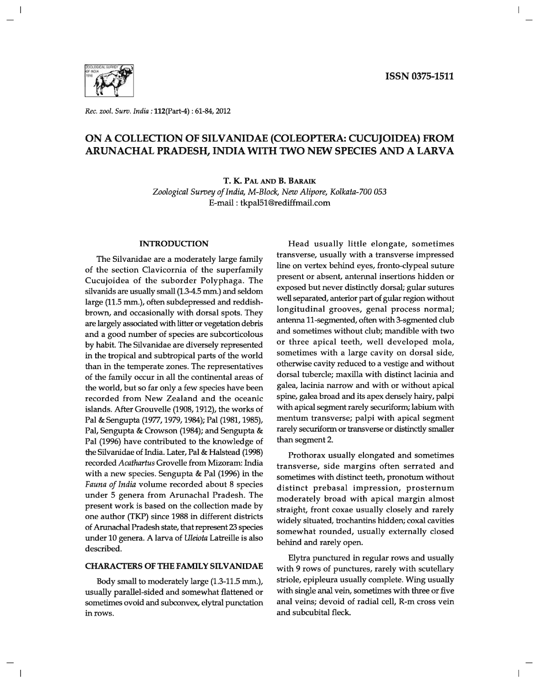

*Rec. zool. Surv. India:* 112(part-4) : 61-84, 2012

## ON A COLLECTION OF SILV ANIDAE (COLEOPTERA: CUCUJOIDEA) FROM ARUNACHAL PRADESH, INDIA WITH TWO NEW SPECIES AND A LARVA

T. K. PAL AND B. BARAIK *Zoological Survey of India, M-Block, New Alipore, Kolkata-700 053*  E-mail: tkpaI51@rediffmai1.com

### INTRODUCTION

The Silvanidae are a moderately large family of the section Clavicornia of the superfamily Cucujoidea of the suborder Polyphaga. The silvanids are usually small (1.34.5 mm.) and seldom large (11.5 mm.), often subdepressed and reddishbrown, and occasionally with dorsal spots. They are largely associated with litter or vegetation debris and a good number of species are subcorticolous by habit. The Silvanidae are diversely represented in the tropical and subtropical parts of the world than in the temperate zones. The representatives of the family occur in all the continental areas of the world, but so far only a few species have been recorded from New Zealand and the oceanic islands. After Grouvelle (1908, 1912), the works of Pal & Sengupta (1977, 1979, 1984); Pal (1981, 1985), Pal, Sengupta & Crowson (1984); and Sengupta & Pal (1996) have contributed to the knowledge of the Silvanidae of India. Later, Pal & Halstead (1998) recorded *Acathartus* Grovelle from Mizoram: India with a new species. Sengupta & Pal (1996) in the *Fauna of India* volume recorded about 8 species under 5 genera from Arunachal Pradesh. The present work is based on the collection made by one author (TKP) since 1988 in different districts of Arunachal Pradesh state, that represent 23 species under 10 genera. A larva of *Weiota* Latreille is also described.

## **CHARACTERS OF THE FAMILY SILVANIDAE**

Body small to moderately large (1.3-11.5 mm.), usually parallel-sided and somewhat flattened or sometimes ovoid and subconvex, elytral punctation in rows.

Head usually little elongate, sometimes transverse, usually with a transverse impressed line on vertex behind eyes, fronto-clypeal suture present or absent, antennal insertions hidden or exposed but never distinctly dorsal; gular sutures well separated, anterior part of gular region without longitudinal grooves, genal process normal; antenna 11-segmented, often with 3-sgmented club and sometimes without club; mandible with two or three apical teeth, well developed mola, sometimes with a large cavity on dorsal side, otherwise cavity reduced to a vestige and without dorsal tubercle; maxilla with distinct lacinia and galea, lacinia narrow and with or without apical spine, galea broad and its apex densely hairy, palpi with apical segment rarely securiform; labium with mentum transverse; palpi with apical segment rarely securiform or transverse or distinctly smaller than segment 2.

Prothorax usually elongated and sometimes transverse, side margins often serrated and sometimes with distinct teeth, pronotum without distinct prebasal impression, prosternum moderately broad with apical margin almost straight, front coxae usually closely and rarely widely situated, trochantins hidden; coxal cavities somewhat rounded, usually externally closed behind and rarely open.

Elytra punctured in regular rows and usually with 9 rows of punctures, rarely with scutellary striole, epipleura usually complete. Wing usually with single anal vein, sometimes with three or five anal veins; devoid of radial cell, R-m cross vein and subcubital fleck.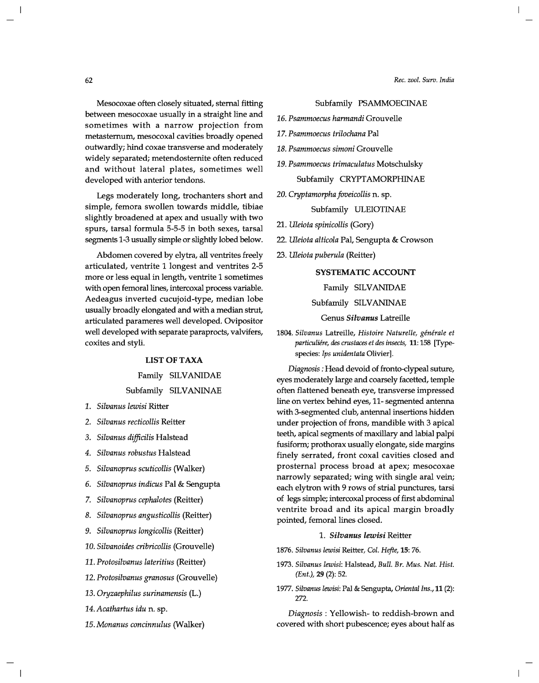*Rec. zool. Surv. India* 

## Subfamily PSAMMOECINAE

- *16. Psammoecus harmandi* Grouvelle
- *17. Psammoecus trilochana* Pal
- *lB. Psammoecus simoni* Grouvelle
- *19. Psammoecus trimaculatus* Motschulsky

## Subfamily CRYPTAMORPHINAE

*20. Cryptamorpha foveicollis* n. sp.

## Subfamily ULEIOTINAE

*21. Uleiota spinicollis* (Gory)

- *22. Uleiota alticola* Pal, Sengupta & Crowson
- *23. Uleiota puberula* (Reitter)

## **SYSTEMATIC ACCOUNT**

## Family SILVANIDAE

Subfamily SILVANINAE

Genus *Silvanus* Latreille

*1804. Silvanus* Latreille, *Histoire Naturelle, generale* et *particuliere, des crustaces et des insects,* 11: 158 [Typespecies: *Ips unidentata* Olivier].

*Diagnosis:* Head devoid of fronto-clypeal suture, eyes moderately large and coarsely facetted, temple often flattened beneath eye, transverse impressed line on vertex behind eyes, 11-segmented antenna with 3-segmented club, antennal insertions hidden under projection of frons, mandible with 3 apical teeth, apical segments of maxillary and labial palpi fusiform; prothorax usually elongate, side margins finely serrated, front coxal cavities closed and prosternal process broad at apex; mesocoxae narrowly separated; wing with single aral vein; each elytron with 9 rows of strial punctures, tarsi of legs simple; intercoxal process of first abdominal ventrite broad and its apical margin broadly pointed, femoral lines closed.

#### *1. Silvanus lewisi* Reitter

- *1876. Silvanus lewisi* Reitter, *Col. Hefte,* 15: 76.
- *1973. Silvanus lewisi:* Halstead, *Bull. Br. Mus. Nat. Hist. (Ent.),* **29** (2): 52.
- *1977. Silvanus lewisi:* Pal & Sengupta, *Oriental Ins.,* 11 (2): 272.

*Diagnosis* : Yellowish- to reddish-brown and covered with short pubescence; eyes about half as

Mesocoxae often closely situated, sternal fitting between mesocoxae usually in a straight line and sometimes with a narrow projection from metasternum, mesocoxal cavities broadly opened outwardly; hind coxae transverse and moderately widely separated; metendosternite often reduced and without lateral plates, sometimes well developed with anterior tendons.

Legs moderately long, trochanters short and simple, femora swollen towards middle, tibiae slightly broadened at apex and usually with two spurs, tarsal formula 5-5-5 in both sexes, tarsal segments 1-3 usually simple or slightly lobed below.

Abdomen covered by elytra, all ventrites freely articulated, ventrite 1 longest and ventrites 2-5 more or less equal in length, ventrite 1 sometimes with open femoral lines, intercoxal process variable. Aedeagus inverted cucujoid-type, median lobe usually broadly elongated and with a median strut, articulated parameres well developed. Ovipositor well developed with separate paraprocts, valvifers, coxites and styli.

## LIST OF TAXA

# Family SILVANIDAE

## Subfamily SILVANINAE

- *1. Silvanus lewisi* Ritter
- *2. Silvanus recticollis* Reitter
- *3. Silvanus difficilis* Halstead
- *4. Silvanus robustus* Halstead
- *5. Silvanoprus scuticollis* (Walker)
- *6. Silvanoprus indicus* Pal & Sengupta
- *7. Silvanoprus cephalotes* (Reitter)
- *B. Silvanoprus angusticollis* (Reitter)
- *9. Silvanoprus longicollis* (Reitter)
- *10. Silvanoides cribricollis* (Grouvelle)
- *11. Protosilvanus lateritius* (Reitter)
- *12. Protosilvanus granosus* (Grouvelle)
- *13. Oryzaephilus surinamensis* (L.)
- *14. Acathartus idu* n. sp.
- *15. Monanus concinnulus* (Walker)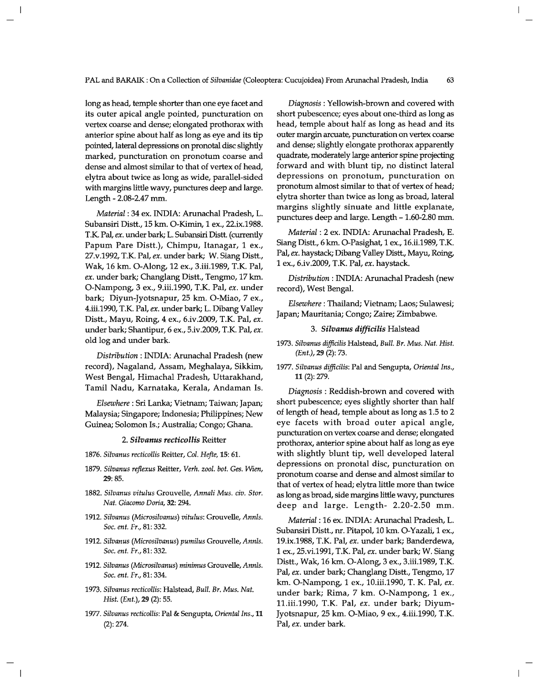long as head, temple shorter than one eye facet and its outer apical angle pointed, puncturation on vertex coarse and dense; elongated prothorax with anterior spine about half as long as eye and its tip pointed, lateral depressions on pronotal disc slightly marked, puncturation on pronotum coarse and dense and almost similar to that of vertex of head, elytra about twice as long as wide, parallel-sided with margins little wavy, punctures deep and large. Length - 2.08-2.47 mm.

*Material:* 34 ex. INDIA: Arunachal Pradesh, L. Subansiri Distt., 15 km. O-Kimin, 1 ex., 22.ix.1988. T.K. Pal, *ex.* under bark; L. Subansiri Distt. (currently Papum Pare Distt.), Chimpu, Itanagar, 1 ex., 27.v.1992, T.K. Pal, *ex.* under bark; W. Siang Distt., Wak, 16 km. O-Along, 12 ex., 3.iii.1989, T.K. Pal, *ex.* under bark; Changlang Distt., Tengmo, 17 km. O-Nampong, 3 ex., 9.iii.1990, T.K. Pal, *ex.* under bark; Diyun-Jyotsnapur, 25 km. O-Miao, 7 ex., 4.iii.1990, T.K. Pal, *ex.* under bark; L. Dibang Valley Distt., Mayu, Roing, 4 ex., 6.iv.2009, T.K. Pal, *ex.*  under bark; Shantipur, 6 ex., 5.iv.2009, T.K. Pal, *ex.*  old log and under bark.

*Distribution:* INDIA: Arunachal Pradesh (new record), Nagaland, Assam, Meghalaya, Sikkim, West Bengal, Himachal Pradesh, Uttarakhand, Tamil Nadu, Karnataka, Kerala, Andaman Is.

*Elsewhere:* Sri Lanka; Vietnam; Taiwan; Japan; Malaysia; Singapore; Indonesia; Philippines; New Guinea; Solomon Is.; Australia; Congo; Ghana.

#### *2. Silvanus recticollis* Reitter

- *1876. Silvanus recticollis* Reitter, *Col. Refte,* 15: 61.
- *1879. Silvanus rejlexus* Reitter, *Verh. zool. bot. Ges. Wien,*  29: 85.
- *1882. Silvanus vitulus* Grouvelle, *Annali Mus. civ. Stor. Nat. Giacomo Doria,* 32: 294.
- *1912. Silvanus (Microsilvanus) vitulus:* Grouvelle, *AnnIs. Soc. ent. Fr.,* 81: 332.
- *1912. Silvanus (Microsilvanus) pumilus* Grouvelle, *AnnIs. Soc. ent. Fr.,* 81: 332.
- *1912. Silvanus (Microsilvanus) minimus* Grouvelle, *AnnIs. Soc. ent. Fr.,* 81: 334.
- *1973. Silvanus recticollis:* Halstead, *Bull. Br. Mus. Nat. Rist. (Ent.),* 29 (2): 55.
- *1977. Silvanus recticollis:* Pal & Sengupta, *Oriental Ins.,* 11 (2): 274.

*Diagnosis:* Yellowish-brown and covered with short pubescence; eyes about one-third as long as head, temple about half as long as head and its outer margin arcuate, puncturation on vertex coarse and dense; slightly elongate prothorax apparently quadrate, moderately large anterior spine projecting forward and with blunt tip, no distinct lateral depressions on pronotum, puncturation on pronotum almost similar to that of vertex of head; elytra shorter than twice as long as broad, lateral margins slightly sinuate and little explanate, punctures deep and large. Length - 1.60-2.80 mm.

*Material:* 2 ex. INDIA: Arunachal Pradesh, E. Siang Distt., 6 km. O-Pasighat, 1 ex., 16.ii.1989, T.K. Pal, *ex.* haystack; Dibang Valley Distt., Mayu, Roing, 1 ex., 6.iv.2009, T.K. Pal, *ex.* haystack.

*Distribution:* INDIA: Arunachal Pradesh (new record), West Bengal.

*Elsewhere:* Thailand; Vietnam; Laos; Sulawesi; Japan; Mauritania; Congo; Zaire; Zimbabwe.

### *3. Silvanus difficilis* Halstead

- *1973. Silvanus difficilis* Halstead, *Bull. Br. Mus. Nat. Rist. (Ent.),* 29 (2): 73.
- *1977. Silvanus difficilis:* Pal and Sengupta, *Oriental Ins.,*  11 (2): 279.

*Diagnosis* : Reddish-brown and covered with short pubescence; eyes slightly shorter than half of length of head, temple about as long as 1.5 to 2 eye facets with broad outer apical angle, puncturation on vertex coarse and dense; elongated prothorax, anterior spine about half as long as eye with slightly blunt tip, well developed lateral depressions on pronotal disc, puncturation on pronotum coarse and dense and almost similar to that of vertex of head; elytra little more than twice as long as broad, side margins little wavy, punctures deep and large. Length- 2.20-2.50 mm.

*Material:* 16 ex. INDIA: Arunachal Pradesh, L. Subansiri Distt., nr. Pitapol,10 km. O-Yazali, 1 ex., 19.ix.1988, T.K. Pal, *ex.* under bark; Banderdewa, 1 ex., 25.vi.1991, T.K. Pal, *ex.* under bark; W. Siang Distt., Wak, 16 km. O-Along, 3 ex., 3.iii.1989, T.K. Pal, *ex.* under bark; Changlang Distt., Tengmo, 17 km. O-Nampong, 1 ex., 10.iii.1990, T. K. Pal, *ex.*  under bark; Rima, 7 km. O-Nampong, 1 ex., l1.iii.1990, T.K. Pal, *ex.* under bark; Diyum-Jyotsnapur, 25 km. O-Miao, 9 ex., 4.iii.1990, T.K. Pal, *ex.* under bark.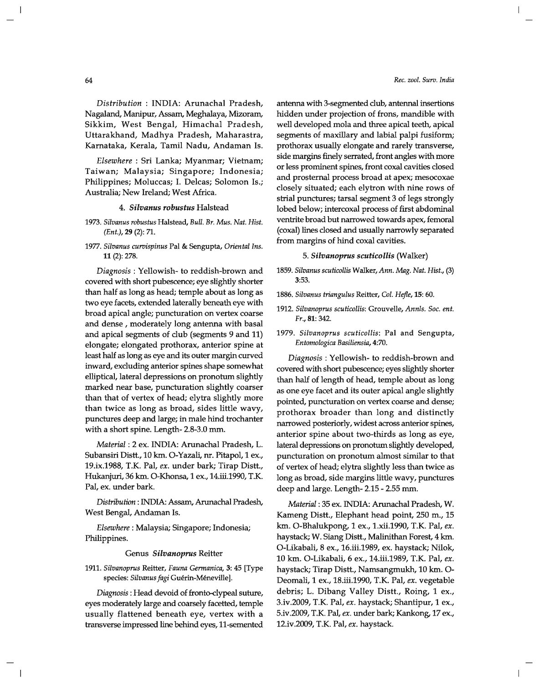*Distribution:* INDIA: Arunachal Pradesh, Nagaland, Manipur, Assam, Meghalaya, Mizoram, Sikkim, West Bengal, Himachal Pradesh, Uttarakhand, Madhya Pradesh, Maharastra, Karnataka, Kerala, Tamil Nadu, Andaman Is.

*Elsewhere:* Sri Lanka; Myanmar; Vietnam; Taiwan; Malaysia; Singapore; Indonesia; Philippines; Moluccas; I. Delcas; Solomon Is.; Australia; New Ireland; West Africa.

## *4. Silvanus robustus* Halstead

- *1973. Silvanus robustus* Halstead, *Bull. Br. Mus. Nat. Hist. (Ent.),29* (2): 71.
- *1977. Silvanus curvispinus* Pal & Sengupta, *Oriental Ins.*  11 (2): 278.

*Diagnosis* : Yellowish- to reddish-brown and covered with short pubescence; eye slightly shorter than half as long as head; temple about as long as two eye facets, extended laterally beneath eye with broad apical angle; puncturation on vertex coarse and dense, moderately long antenna with basal and apical segments of club (segments 9 and 11) elongate; elongated prothorax, anterior spine at least half as long as eye and its outer margin curved inward, excluding anterior spines shape somewhat elliptical, lateral depressions on pronotum slightly marked near base, puncturation slightly coarser than that of vertex of head; elytra slightly more than twice as long as broad, sides little wavy, punctures deep and large; in male hind trochanter with a short spine. Length- 2.8-3.0 mm.

*Material:* 2 ex. INDIA: Arunachal Pradesh, L. Subansiri Distt., 10 km. O-Yazali, nr. Pitapol, 1 ex., 19.ix.1988, T.K. Pal, *ex.* under bark; Tirap Distt., Hukanjuri, 36 km. O-Khonsa, 1 ex., 14.iii.1990, T.K. Pal, ex. under bark.

Distribution: INDIA: Assam, Arunachal Pradesh, West Bengal, Andaman Is.

*Elsewhere:* Malaysia; Singapore; Indonesia; Philippines.

#### Genus *Silvanoprus* Reitter

*1911. Silvanoprus* Reitter, *Fauna Germanica,* 3: 45 [Type species: Silvanus fagi Guérin-Méneville].

*Diagnosis:* Head devoid of fronto-clypeal suture, eyes moderately large and coarsely facetted, temple usually flattened beneath eye, vertex with a transverse impressed line behind eyes, 11-semented antenna with 3-segmented club, antennal insertions hidden under projection of frons, mandible with well developed mola and three apical teeth, apical segments of maxillary and labial palpi fusiform; prothorax usually elongate and rarely transverse, side margins finely serrated, front angles with more or less prominent spines, front coxal cavities closed and prosternal process broad at apex; mesocoxae closely situated; each elytron with nine rows of strial punctures; tarsal segment 3 of legs strongly lobed below; intercoxal process of first abdominal ventrite broad but narrowed towards apex, femoral (coxal) lines closed and usually narrowly separated from margins of hind coxal cavities.

## 5. *Silvanoprus scuticollis* (Walker)

- *1859. Silvanus scuticollis* Walker, *Ann. Mag. Nat. Hist., (3)*  3:53.
- *1886. Silvanus triangulus* Reitter, *Col. Hefle,* 15: 60.
- *1912. Silvanoprus scuticollis:* Grouvelle, *AnnIs. Soc. ent. Fr.,* 81: 342.
- *1979. Silvanoprus scuticollis:* Pal and Sengupta, *Entomologica Basiliensia, 4:70.*

*Diagnosis:* Yellowish- to reddish-brown and covered with short pubescence; eyes slightly shorter than half of length of head, temple about as long as one eye facet and its outer apical angle slightly pointed, puncturation on vertex coarse and dense; prothorax broader than long and distinctly narrowed posteriorly, widest across anterior spines, anterior spine about two-thirds as long as eye, lateral depressions on pronotum slightly developed, puncturation on pronotum almost similar to that of vertex of head; elytra slightly less than twice as long as broad, side margins little wavy, punctures deep and large. Length- 2.15 - 2.55 mm.

*Material:* 35 ex. INDIA: Arunachal Pradesh, W. Kameng Distt., Elephant head point, 250 m., 15 km. O-Bhalukpong, 1 ex., 1.xii.1990, T.K. Pal, *ex.*  haystack; W. Siang Distt., Malinithan Forest, 4 km. O-Likabali, 8 ex., 16.iii.1989, ex. haystack; Nilok, 10 km. O-Likabali, 6 ex., 14.iii.1989, T.K. Pal, *ex.*  haystack; Tirap Distt., Namsangmukh, 10 km. 0- Deomali, 1 ex., 18.iii.1990, T.K. Pal, *ex.* vegetable debris; L. Dibang Valley Distt., Roing, 1 ex., 3.iv.2009, T.K. Pal, *ex.* haystack; Shantipur, 1 ex., 5.iv.2009, T.K. Pal, *ex.* under bark; Kankong, 17 ex., 12.iv.2009, T.K. Pal, *ex.* haystack.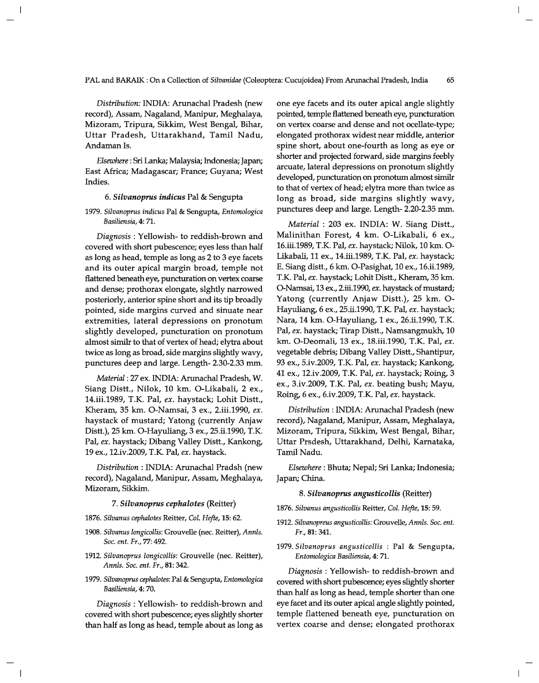*Distribution:* INDIA: Arunachal Pradesh (new record), Assam, Nagaland, Manipur, Meghalaya, Mizoram, Tripura, Sikkim, West Bengal, Bihar, Uttar Pradesh, Uttarakhand, Tamil Nadu, Andaman Is.

*Elsewhere:* Sri Lanka; Malaysia; Indonesia; Japan; East Africa; Madagascar; France; Guyana; West Indies.

#### *6. Silvanoprus indicus* Pal & Sengupta

## *1979. Silvanoprus indicus* Pal & Sengupta, *Entomologica Basiliensia,* 4: 71.

*Diagnosis* : Yellowish- to reddish-brown and covered with short pubescence; eyes less than half as long as head, temple as long as 2 to 3 eye facets and its outer apical margin broad, temple not flattened beneath eye, puncturation on vertex coarse and dense; prothorax elongate, sIghtly narrowed posteriorly, anterior spine short and its tip broadly pointed, side margins curved and sinuate near extremities, lateral depressions on pronotum slightly developed, puncturation on pronotum almost similr to that of vertex of head; elytra about twice as long as broad, side margins slightly wavy, punctures deep and large. Length- 2.30-2.33 mm.

*Material:* 27 ex. INDIA: Arunachal Pradesh, W. Siang Distt., Nilok, 10 km. O-Likabali, 2 ex., 14.iii.1989, T.K. Pal, *ex.* haystack; Lohit Distt., Kheram, 35 km. O-Namsai, 3 ex., 2.iii.1990, *ex.*  haystack of mustard; Yatong (currently Anjaw Distt.), 25 km. O-Hayuliang, 3 ex., 25.ii.1990, T.K. Pal, *ex.* haystack; Dibang Valley Distt., Kankong, 19 ex., 12.iv.2009, T.K. Pal, *ex.* haystack.

*Distribution:* INDIA: Arunachal Pradsh (new record), Nagaland, Manipur, Assam, Meghalaya, Mizoram, Sikkim.

## *7. Silvanoprus cephalotes* (Reitter)

- *1876. Silvanus cephalotes* Reitter, *Col. Hefte,* 15: 62.
- *1908. Silvanus longicollis:* Grouvelle (nee. Reitter), *AnnIs. Soc. ent. Fr.,* 77: 492.
- *1912. Silvanoprus longicollis:* Grouvelle (nee. Reitter), *AnnIs. Soc. ent. Fr.,* 81: 342.
- *1979. Silvanoprus cephalotes:* Pal & Sengupta, *Entomologica Basiliensia,* 4: 70.

*Diagnosis* : Yellowish- to reddish-brown and covered with short pubescence; eyes slightly shorter than half as long as head, temple about as long as one eye facets and its outer apical angle slightly pointed, temple flattened beneath eye, puncturation on vertex coarse and dense and not ocellate-type; elongated prothorax widest near middle, anterior spine short, about one-fourth as long as eye or shorter and projected forward, side margins feebly arcuate, lateral depressions on pronotum slightly developed, puncturation on pronotum almost similr to that of vertex of head; elytra more than twice as long as broad, side margins slightly wavy, punctures deep and large. Length- 2.20-2.35 mm.

*Material:* 203 ex. INDIA: W. Siang Distt., Malinithan Forest, 4 km. O-Likabali, 6 ex., 16.iii.1989, T.K. Pal, *ex.* haystack; Nilok, 10 km. 0- Likabali,11 ex., 14.iii.1989, T.K. Pal, *ex.* haystack; E. Siang distt., 6 km. O-Pasighat, 10 ex., 16.ii.1989, T.K. Pal, *ex.* haystack; Lohit Distt., Kheram, 35 km. O-Narnsai, 13 ex., 2.iii.1990, *ex.* haystack of mustard; Yatong (currently Anjaw Distt.), 25 km. 0- Hayuliang, 6 ex., 25.ii.1990, T.K. Pal, *ex.* haystack; Nara, 14 km. O-Hayuliang, 1 ex., 26.ii.1990, T.K. Pal, *ex.* haystack; Tirap Distt., Namsangmukh, 10 km. O-Deomali, 13 ex., 18.iii.1990, T.K. Pal, *ex.*  vegetable debris; Dibang Valley Distt., Shantipur, 93 ex., 5.iv.2009, T.K. Pal, *ex.* haystack; Kankong, 41 ex., 12.iv.2009, T.K. Pal, *ex.* haystack; Roing, 3 ex., 3.iv.2009, T.K. Pal, *ex.* beating bush; Mayu, Roing, 6 ex., 6.iv.2009, T.K. Pal, *ex.* haystack.

*Distribution:* INDIA: Arunachal Pradesh (new record), Nagaland, Manipur, Assam, Meghalaya, Mizoram, Tripura, Sikkim, West Bengal, Bihar, Uttar Prsdesh, Uttarakhand, Delhi, Karnataka, Tamil Nadu.

*Elsewhere:* Bhuta; Nepal; Sri Lanka; Indonesia; Japan; China.

#### *8. Silvanoprus angusticollis* (Reitter)

- *1876. Silvanus angusticollis* Reitter, *Col. Hefte,* 15: 59.
- *1912. Silvanopreus angusticollis:* Grouvelle, *AnnIs. Soc. ent. Fr.,* 81: 341.
- *1979. Silvanoprus angusticollis* : Pal & Sengupta, *Entomologica Basiliensia,* 4: 71.

*Diagnosis:* Yellowish- to reddish-brown and covered with short pubescence; eyes slightly shorter than half as long as head, temple shorter than one eye facet and its outer apical angle slightly pointed, temple flattened beneath eye, puncturation on vertex coarse and dense; elongated prothorax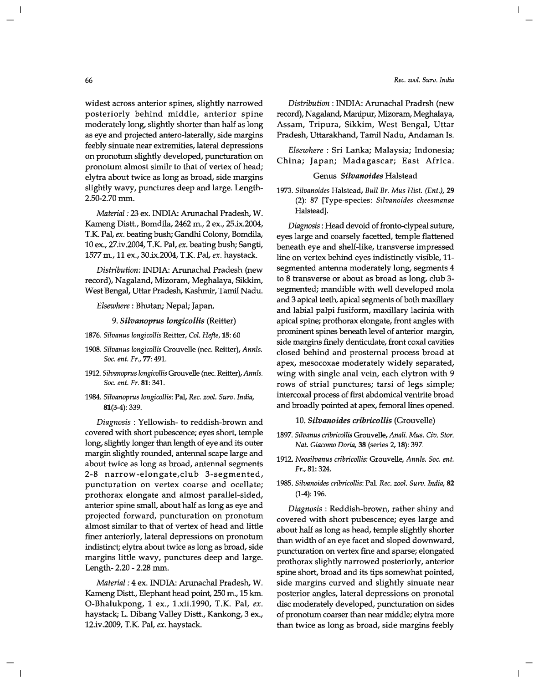#### *Rec. zool. Surv. India*

widest across anterior spines, slightly narrowed posteriorly behind middle, anterior spine moderately long, slightly shorter than half as long as eye and projected antero-Iaterally, side margins feebly sinuate near extremities, lateral depressions on pronotum slightly developed, puncturation on pronotum almost similr to that of vertex of head; elytra about twice as long as broad, side margins slightly wavy, punctures deep and large. Length-2.50-2.70 mm.

*Material:* 23 ex. INDIA: Arunachal Pradesh, W. Kameng Distt., Bomdila, 2462 m., 2 ex., 25.ix.2004, T.K. Pal, *ex.* beating bush; Gandhi Colony, Bomdila, 10 ex., 27.iv.2004, T.K. Pal, *ex.* beating bush; Sangti, 1577 m., 11 ex., 30.ix.2004, T.K. Pal, *ex.* haystack.

*Distribution:* INDIA: Arunachal Pradesh (new record), Nagaland, Mizoram, Meghalaya, Sikkim, West Bengal, Uttar Pradesh, Kashmir, Tamil Nadu.

*Elsewhere:* Bhutan; Nepal; Japan.

*9. Silvanoprus longicollis* (Reitter)

*1876. Silvanus longicollis* Reitter, *Col. Hejte,* 15: 60

- *1908. Silvanus longicollis* Grouvelle (nee. Reitter), *AnnIs. Soc. ent. Fr.,* 77: 491.
- *1912. Silvanoprus longicollis* Grouvelle (nee. Reitter), *AnnIs. Soc. ent. Fr.* 81: 341.
- *1984. Silvanoprus longicollis:* Pal, *Rec. zool. Surv. India,*  81(3-4): 339.

*Diagnosis* : Yellowish- to reddish-brown and covered with short pubescence; eyes short, temple long, slightly longer than length of eye and its outer margin slightly rounded, antennal scape large and about twice as long as broad, antennal segments 2-8 narrow-elongate, club 3-segmented, puncturation on vertex coarse and ocellate; prothorax elongate and almost parallel-sided, anterior spine small, about half as long as eye and projected forward, puncturation on pronotum almost similar to that of vertex of head and little finer anteriorly, lateral depressions on pronotum indistinct; elytra about twice as long as broad, side margins little wavy, punctures deep and large. Length- 2.20 - 2.28 mm.

*Material:* 4 ex. INDIA: Arunachal Pradesh, W. Kameng Distt., Elephant head point, 250 m., 15 km. O-Bhalukpong, 1 ex., 1.xii.1990, T.K. Pal, *ex.*  haystack; L. Dibang Valley Distt., Kankong, 3 ex., 12.iv.2009, T.K. Pal, *ex.* haystack.

*Distribution:* INDIA: Arunachal Pradrsh (new record), Nagaland, Manipur, Mizoram, Meghalaya, Assam, Tripura, Sikkim, West Bengal, Uttar Pradesh, Uttarakhand, Tamil Nadu, Andaman Is.

*Elsewhere* : Sri Lanka; Malaysia; Indonesia; China; Japan; Madagascar; East Africa.

### Genus *Silvanoides* Halstead

*1973. Silvanoides* Halstead, *Bull Br. Mus Hist. (Ent.), 29*  (2): 87 [Type-species: *Silvanoides cheesmanae*  Halstead].

*Diagnosis:* Head devoid of fronto-clypeal suture, eyes large and coarsely facetted, temple flattened beneath eye and shelf-like, transverse impressed line on vertex behind eyes indistinctly visible, 11 segmented antenna moderately long, segments 4 to 8 transverse or about as broad as long, club 3 segmented; mandible with well developed mola and 3 apical teeth, apical segments of both maxillary and labial palpi fusiform, maxillary lacinia with apical spine; prothorax elongate, front angles with prominent spines beneath level of anterior margin, side margins finely denticulate, front coxal cavities closed behind and prosternal process broad at apex, mesocoxae moderately widely separated, wing with single anal vein, each elytron with 9 rows of strial punctures; tarsi of legs simple; intercoxal process of first abdomical ventrite broad and broadly pointed at apex, femoral lines opened.

#### *10. Silvanoides cribricollis* (Grouvelle)

- *1897. Silvanus cribricollis* Grouvelle, *Anali. Mus. Civ. Stor. Nat. Giacomo Doria,* 38 (series 2, 18): 397.
- *1912. Neosilvanus cribricollis:* Grouvelle, *AnnIs. Soc. ent. Fr.,* 81: 324.
- *1985. Silvanoides cribricollis:* Pal. *Rec. zool. Surv. India, 82*  (1-4): 196.

*Diagnosis* : Reddish-brown, rather shiny and covered with short pubescence; eyes large and about half as long as head, temple slightly shorter than width of an eye facet and sloped downward, puncturation on vertex fine and sparse; elongated prothorax slightly narrowed posteriorly, anterior spine short, broad and its tips somewhat pointed, side margins curved and slightly sinuate near posterior angles, lateral depressions on pronotal disc moderately developed, puncturation on sides of pronotum coarser than near middle; elytra more than twice as long as broad, side margins feebly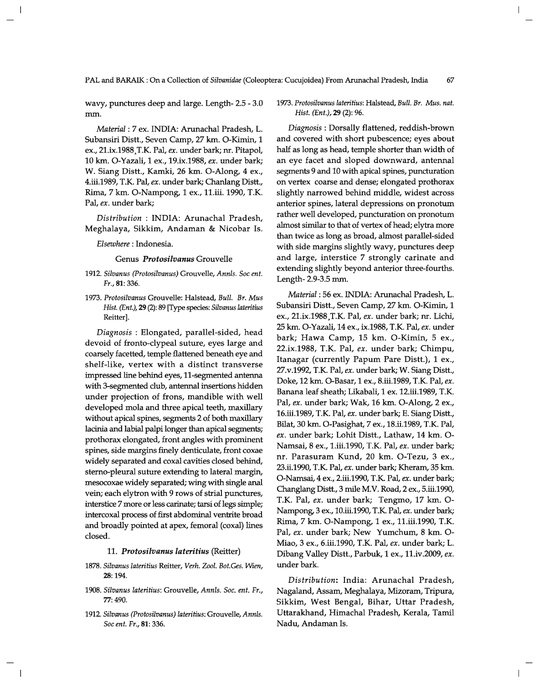wavy, punctures deep and large. Length- 2.5 - 3.0 mm.

*Material:* 7 ex. INDIA: Arunachal Pradesh, L. Subansiri Distt., Seven Camp, 27 km. O-Kimin, 1 ex., 21.ix.1988,T.K. Pal, *ex.* under bark; m. Pitapol, 10 km. O-Yazali, 1 ex., 19.ix.1988, *ex.* under bark; W. Siang Distt., Kamki, 26 km. O-Along, 4 ex., 4.iii.1989, T.K. Pal, *ex.* under bark; Chanlang Distt., Rima, 7 km. O-Nampong, 1 ex., 11.iii. 1990, T.K. Pal, *ex.* under bark;

*Distribution:* INDIA: Arunachal Pradesh, Meghalaya, Sikkim, Andaman & Nicobar Is.

*Elsewhere:* Indonesia.

Genus *Protosilvanus* Grouvelle

- *1912. Silvanus (Protosilvanus)* Grouvelle, *AnnIs. Soc ent. Fr.,* 81: 336.
- *1973. Protosilvanus* Grouvelle: Halstead, *Bull. Br. Mus Hist. (Ent.),* 29 (2): 89 [Type species: *Silvanus lateritius*  Reitter].

*Diagnosis* : Elongated, parallel-sided, head devoid of fronto-clypeal suture, eyes large and coarsely facetted, temple flattened beneath eye and shelf-like, vertex with a distinct transverse impressed line behind eyes, 11-segmented antenna with 3-segmented club, antennal insertions hidden under projection of frons, mandible with well developed mola and three apical teeth, maxillary without apical spines, segments 2 of both maxillary lacinia and labial palpi longer than apical segments; prothorax elongated, front angles with prominent spines, side margins finely denticulate, front coxae widely separated and coxal cavities closed behind, sterno-pleural suture extending to lateral margin, mesocoxae widely separated; wing with single anal vein; each elytron with 9 rows of strial punctures, interstice 7 more or less carinate; tarsi of legs simple; intercoxal process of first abdominal ventrite broad and broadly pointed at apex, femoral (coxal) lines closed.

#### *11. Protosilvanus lateritius* (Reitter)

- *1878. Silvanus lateritius* Reitter, *Verh. Zool. Bot.Ges. Wien,*  28: 194.
- *1908. Silvanus lateritius:* Grouvelle, *AnnIs. Soc. ent. Fr.,*  77: 490.
- *1912. Silvanus (Protosilvanus) lateritius:* Grouvelle, *AnnIs. Soc ent. Fr.,* 81: 336.

## *1973. Protosilvanus lateritius:* Halstead, *Bull. Br. Mus. nat. Hist. (Ent.),* 29 (2): 96.

*Diagnosis* : Dorsally flattened, reddish-brown and covered with short pubescence; eyes about half as long as head, temple shorter than width of an eye facet and sloped downward, antennal segments 9 and 10 with apical spines, puncturation on vertex coarse and dense; elongated prothorax slightly narrowed behind middle, widest across anterior spines, lateral depressions on pronotum rather well developed, puncturation on pronotum almost similar to that of vertex of head; elytra more than twice as long as broad, almost parallel-sided with side margins slightly wavy, punctures deep and large, interstice 7 strongly carinate and extending slightly beyond anterior three-fourths. Length- 2.9-3.5 mm.

*Material:* 56 ex. INDIA: Arunachal Pradesh, L. Subansiri Distt., Seven Camp, 27 km. O-Kimin, 1 ex., 21.ix.1988,T.K. Pal, *ex.* under bark; m. Lichi, 25 km. O-Yazali, 14 ex., ix.1988, T.K. Pal, *ex.* under bark; Hawa Camp, 15 km. O-Kimin, 5 ex., 22.ix.1988, T.K. Pal, *ex.* under bark; Chimpu, Itanagar (currently Papum Pare Distt.), 1 ex., 27.v.1992, T.K. Pal, *ex.* under bark; W. Siang Distt., Doke, 12 km. O-Basar, 1 ex., 8.iii.1989, T.K. Pal, *ex.*  Banana leaf sheath; Likabali, 1 ex. 12.iii.1989, T.K. Pal, *ex.* under bark; Wak, 16 km. O-Along, 2 ex., 16.iii.1989, T.K. Pal, *ex.* under bark; E. Siang Distt., Bilat, 30 km. O-Pasighat, 7 ex., 18.ii.1989, T.K. Pal, *ex.* under bark; Lohit Distt., Lathaw, 14 km. 0- Namsai, 8 ex., 1.iii.1990, T.K. Pal, *ex.* under bark; nr. Parasuram Kund, 20 km. O-Tezu, 3 ex., 23.ii.1990, T.K. Pal, *ex.* under bark; Kheram, 35 km. 0-Namsai,4 ex., 2.iii.1990, T.K. Pal, *ex.* under bark; Changlang Distt., 3 mile M.V. Road, 2 ex., 5.iii.1990, T.K. Pal, *ex.* under bark; Tengmo, 17 km. 0- Nampong, 3 ex., 10.iii.1990, T.K. Pal, *ex.* under bark; Rima, 7 km. O-Nampong, 1 ex., l1.iii.1990, T.K. Pal, *ex.* under bark; New Yumchum, 8 km. 0- Miao,3 ex., 6.iii.1990, T.K. Pal, *ex.* under bark; L. Dibang Valley Distt., Parbuk, 1 ex., 11.iv.2009, *ex.*  under bark.

*Distribution:* India: Arunachal Pradesh, Nagaland, Assam, Meghalaya, Mizoram, Tripura, Sikkim, West Bengal, Bihar, Uttar Pradesh, Uttarakhand, Himachal Pradesh, Kerala, Tamil Nadu, Andaman Is.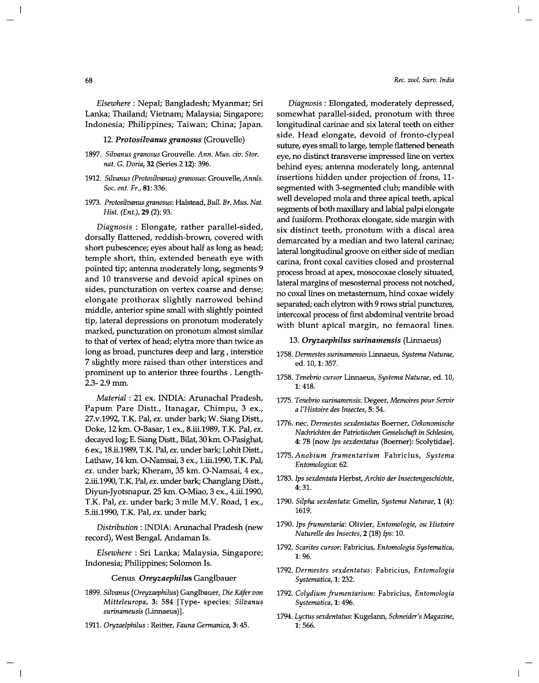*Elsewhere:* Nepal; Bangladesh; Myanmar; Sri Lanka; Thailand; Vietnam; Malaysia; Singapore; Indonesia; Philippines; Taiwan; China; Japan.

*12. Protosilvanus granosus* (Grouvelle)

- *1897. Silvanus granosus* Grouvelle. *Ann. Mus. civ. Stor. nat.* G. *Doria,* 32 (Series 212): 396.
- *1912. Silvanus (Protosilvanus) granosus:* Grouvelle, *AnnIs. Soc. ent. Fr.,* 81: 336.
- *1973. Protosilvanus granosus:* Halstead, *Bull. Br. Mus. Nat. Hist. (Ent.)*, 29 (2): 93.

*Diagnosis* : Elongate, rather parallel-sided, dorsally flattened, reddish-brown, covered with short pubescence; eyes about half as long as head; temple short, thin, extended beneath eye with pointed tip; antenna moderately long, segments 9 and 10 transverse and devoid apical spines on sides, puncturation on vertex coarse and dense; elongate prothorax slightly narrowed behind middle, anterior spine small with slightly pointed tip, lateral depressions on pronotum moderately marked, puncturation on pronotum almost similar to that of vertex of head; elytra more than twice as long as broad, punctures deep and larg, interstice 7 slightly more raised than other interstices and prominent up to anterior three fourths. Length-2.3-2.9mm.

*Material:* 21 ex. INDIA: Arunachal Pradesh, Papum Pare Distt., Itanagar, Chimpu, 3 ex., 27.v.1992, T.K. Pal, *ex.* under bark; W. Siang Distt., Doke, 12 km. O-Basar, 1 ex., 8.iii.1989, T.K. Pal, *ex.*  decayed log; E. Siang Distt., Bilat, 30 km. O-Pasighat, 6 ex., 18.ii.1989, TK Pal, *ex.* under bark; Lohit Distt., Lathaw, 14 km. O-Namsai, 3 ex., 1.iii.1990, T.K. Pal, *ex.* under bark; Kheram, 35 km. O-Namsai, 4 ex., 2.iii.1990, TK Pal, *ex.* under bark; Changlang Distt., Diyun-Jyotsnapur, 25 km. O-Miao, 3 ex., 4.iii.1990, T.K. Pal, *ex.* under bark; 3 mile M.V. Road, 1 ex., 5.iii.1990, T.K. Pal, *ex.* under bark;

*Distribution:* INDIA: Arunachal Pradesh (new record), West Bengal, Andaman Is.

*Elsewhere* : Sri Lanka; Malaysia, Singapore; Indonesia; Philippines; Solomon Is.

Genus *Oreyzaephilus* Ganglbauer

- *1899. Silvanus (Oreyzaephilus)* Ganglbauer, *Die Kiifer von Mitteleuropa,* 3: 584 [Type- species: *Silvanus surinameusis* (Linnaeus)].
- *1911. Oryzaelphilus* : Reitter, *Fauna Germanica,* 3: 45.

*Diagnosis* : Elongated, moderately depressed, somewhat parallel-sided, pronotum with three longitudinal carinae and six lateral teeth on either side. Head elongate, devoid of fronto-dypeal suture, eyes small to large, temple flattened beneath eye, no distinct transverse impressed line on vertex behind eyes; antenna moderately long, antennal insertions hidden under projection of frons, 11 segmented with 3-segmented club; mandible with well developed mola and three apical teeth, apical segments of both maxillary and labial palpi elongate and fusiform. Prothorax elongate, side margin with six distinct teeth, pronotum with a discal area demarcated by a median and two lateral carinae; lateral longitudinal groove on either side of median carina, front coxal cavities closed and prosternal process broad at apex, mosocoxae closely situated, lateral margins of mesosternal process not notched, no coxal lines on metasternum, hind coxae widely separated; each elytron with 9 rows strial punctures, intercoxal process of first abdominal ventrite broad with blunt apical margin, no femaoral lines.

#### *13. Oryzaephilus surinamensis* (Linnaeus)

- *1758. Dermestes surinamensis* Linnaeus, *Systema Naturae,*  ed. 10, 1: 357.
- *1758. Tenebrio cursor* Linnaeus, *Systema Naturae,* ed. 10, 1:418.
- *1775. Tenebrio surinamensis:* Degeer, *Memoires pour Servir a l'Histoire des Insectes,* 5: 54.
- 1776. nec. *Dermestes sexdentatus* Boerner, *Oekonomische Nachrichten der Patriotischen Gesselschaft in SchIesien,*  4: 78 [now *Ips sexdentatus* (Boerner): Scolytidae].
- *1775. Anobium frumentarium* Fabricius, *Systema Entomologica: 62.*
- *1783. Ips sexdentata* Herbst, *Archiv der Insectengeschichte,*  4:31.
- *1790. Silpha sexdentata:* Gmelin, *Systema Naturae,* 1 (4): 1619.
- *1790. Ips frumentaria:* Olivier, *Entomologie, ou Histoire Naturelle des Insectes,* 2 (18) *Ips: 10.*
- *1792. Scarites cursor:* Fabricius, *Entomologia Systematica,*  1: 96.
- *1792. Dermestes sexdentatus:* Fabricius, *Entomologia Systematica,* 1: 232.
- *1792. Colydium frumentarium:* Fabricius, *Entomologia Systematica,* 1: 496.
- *1794. Lyctus sexdentatus:* Kugelann, *Schneider's Magazine,*  1:566.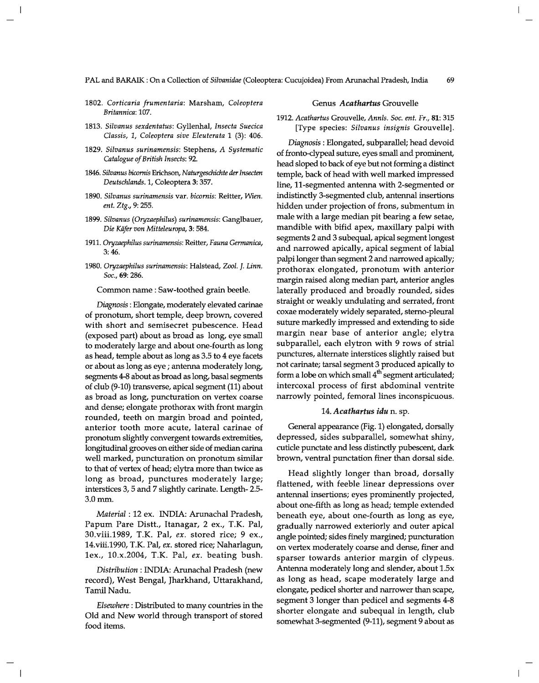- *1802. Corticaria frumentaria:* Marsham, *Coleoptera Britannica: 107.*
- *1813. Silvanus sexdentatus:* Gyllenhal, *Insecta Suecica Classis,* 1, *Coleoptera sive Eleuterata* 1 (3): 406.
- *1829. Silvanus surinamensis:* Stephens, *A Systematic Catalogue of British Insects: 92.*
- *1846. Silvanus bicornis* Erichson, *Naturgeschichte tier Insecten Deutschlands.* I, Coleoptera 3: 357.
- *1890. Silvanus surinamensis* var. *bicornis:* Reitter, *Wien. ent. Ztg.,* 9: 255.
- *1899. Silvanus (Oryzaephilus) surinamensis:* Ganglbauer, *Die Kilfer von Mitteleuropa,* 3: 584.
- *1911. Oryzaephilus surinamensis:* Reitter, *Fauna Germanica,*  3:46.
- *1980. Oryzaephilus surinamensis:* Halstead, *Zool.* J. *Linn. Soc.,* 69: 286.

Common name: Saw-toothed grain beetle.

*Diagnosis:* Elongate, moderately elevated carinae of pronotum, short temple, deep brown, covered with short and semisecret pubescence. Head (exposed part) about as broad as long, eye small to moderately large and about one-fourth as long as head, temple about as long as 3.5 to 4 eye facets or about as long as eye; antenna moderately long, segments 4-8 about as broad as long, basal segments of club (9-10) transverse, apical segment (11) about as broad as long, puncturation on vertex coarse and dense; elongate prothorax with front margin rounded, teeth on margin broad and pointed, anterior tooth more acute, lateral carinae of pronotum slightly convergent towards extremities, longitudinal grooves on either side of median carina well marked, puncturation on pronotum similar to that of vertex of head; elytra more than twice as long as broad, punctures moderately large; interstices 3, 5 and 7 slightly carinate. Length- 2.5- 3.0mm.

*Material* : 12 ex. INDIA: Arunachal Pradesh, Papum Pare Distt., Itanagar, 2 ex., T.K. Pal, 30.viii.1989, T.K. Pal, *ex.* stored rice; 9 ex., 14.viii.1990, T.K. Pal, *ex.* stored rice; Naharlagun, lex., 10.x.2004, T.K. Pal, *ex.* beating bush.

*Distribution:* INDIA: Arunachal Pradesh (new record), West Bengal, Jharkhand, Uttarakhand, Tamil Nadu.

*Elsewhere:* Distributed to many countries in the Old and New world through transport of stored food items.

### Genus *Acathartus* Grouvelle

## *1912. Acathartus* Grouvelle, *AnnIs. Soc. ent. Fr.,* 81: 315 [Type species: *Silvanus insignis* Grouvelle].

*Diagnosis:* Elongated, subparallel; head devoid of fronto-clypeal suture, eyes small and prominent, head sloped to back of eye but not forming a distinct temple, back of head with well marked impressed line, 11-segmented antenna with 2-segmented or indistinctly 3-segmented club, antennal insertions hidden under projection of frons, submentum in male with a large median pit bearing a few setae, mandible with bifid apex, maxillary palpi with segments 2 and 3 subequal, apical segment longest and narrowed apically, apical segment of labial palpi longer than segment 2 and narrowed apically; prothorax elongated, pronotum with anterior margin raised along median part, anterior angles laterally produced and broadly rounded, sides straight or weakly undulating and serrated, front coxae moderately widely separated, sterno-pleural suture markedly impressed and extending to side margin near base of anterior angle; elytra subparallel, each elytron with 9 rows of strial punctures, alternate interstices slightly raised but not carinate; tarsal segment 3 produced apically to form a lobe on which small  $4<sup>th</sup>$  segment articulated; intercoxal process of first abdominal ventrite narrowly pointed, femoral lines inconspicuous.

## *14. Acathartus idu* n. sp.

General appearance (Fig. 1) elongated, dorsally depressed, sides subparallel, somewhat shiny, cuticle punctate and less distinctly pubescent, dark brown, ventral punctation finer than dorsal side.

Head slightly longer than broad, dorsally flattened, with feeble linear depressions over antennal insertions; eyes prominently projected, about one-fifth as long as head; temple extended beneath eye, about one-fourth as long as eye, gradually narrowed exteriorly and outer apical angle pointed; sides finely margined; puncturation on vertex moderately coarse and dense, finer and sparser towards anterior margin of clypeus. Antenna moderately long and slender, about  $1.5x$ as long as head, scape moderately large and elongate, pedicel shorter and narrower than scape, segment 3 longer than pedicel and segments 4-8 shorter elongate and subequal in length, club somewhat 3-segmented (9-11), segment 9 about as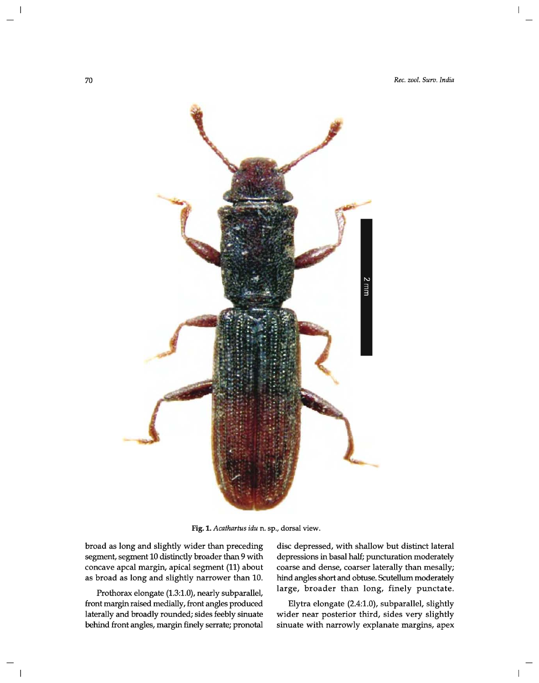

Fig. 1. Acathartus idu n. sp., dorsal view.

broad as long and slightly wider than preceding segment, segment 10 distinctly broader than 9 with concave apcal margin, apical segment (11) about as broad as long and slightly narrower than 10.

Prothorax elongate (1.3:1.0), nearly subparallel, front margin raised medially, front angles produced laterally and broadly rounded; sides feebly sinuate behind front angles, margin finely serrate; pronotal

disc depressed, with shallow but distinct lateral depressions in basal half; puncturation moderately coarse and dense, coarser laterally than mesally; hind angles short and obtuse. Scutellum moderately large, broader than long, finely punctate.

Elytra elongate (2.4:1.0), subparallel, slightly wider near posterior third, sides very slightly sinuate with narrowly explanate margins, apex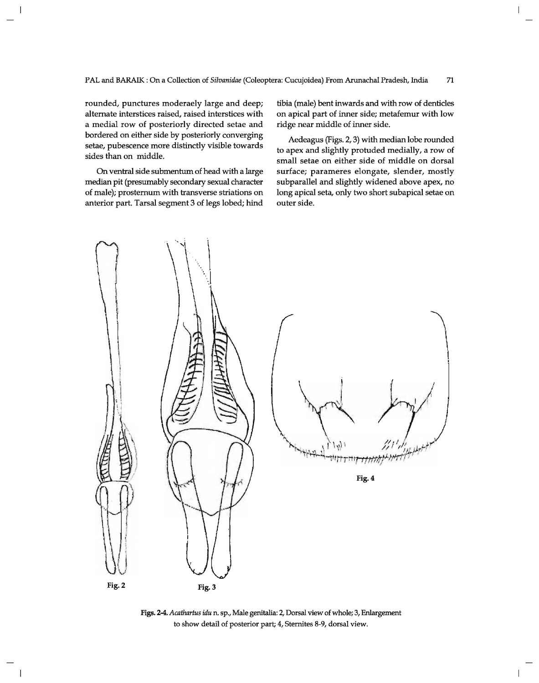rounded, punctures moderaely large and deep; alternate interstices raised, raised interstices with a medial row of posteriorly directed setae and bordered on either side by posteriorly converging setae, pubescence more distinctly visible towards sides than on middle.

On ventral side submentum of head with a large median pit (presumably secondary sexual character of male); prosternum with transverse striations on anterior part. Tarsal segment 3 of legs lobed; hind tibia (male) bent inwards and with row of denticles on apical part of inner side; metafemur with low ridge near middle of inner side.

 $\overline{\phantom{a}}$ 

Aedeagus (Figs. 2, 3) with median lobe rounded to apex and slightly protuded medially, a row of small setae on either side of middle on dorsal surface; parameres elongate, slender, mostly subparallel and slightly widened above apex, no long apical seta, only two short subapical setae on outer side.



Figs. 2-4. *Acathartus idu* n. sp., Male genitalia: 2, Dorsal view of whole; 3, Enlargement to show detail of posterior part; 4, Sternites 8-9, dorsal view.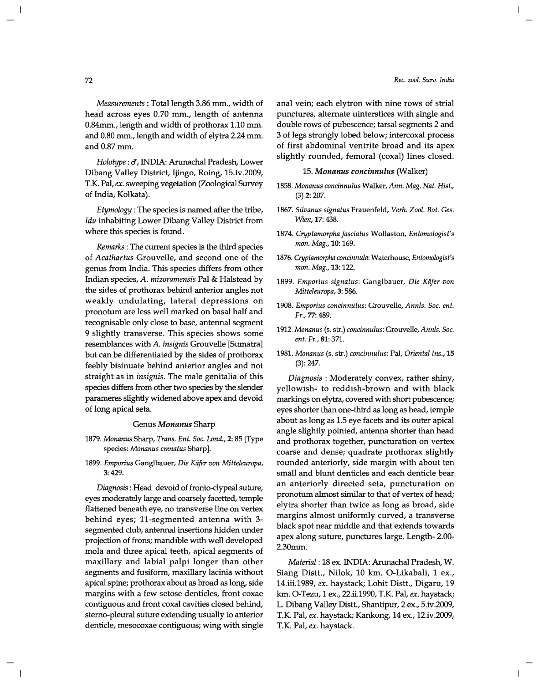*Measurements:* Total length 3.86 mm., width of head across eyes 0.70 mm., length of antenna O.B4mm., length and width of prothorax 1.10 mm. and 0.80 mm., length and width of elytra 2.24 mm. and  $0.87$  mm.

*Holotype* : c!, INDIA: Arunachal Pradesh, Lower Dibang Valley District, Ijingo, Roing, 15.iv.2009, T.K. Pal, *ex.* sweeping vegetation (Zoological Survey of India, Kolkata).

*Etymology:* The species is named after the tribe, *Idu* inhabiting Lower Dibang Valley District from where this species is found.

*Remarks:* The current species is the third species of *Acathartus* Grouvelle, and second one of the genus from India. This species differs from other Indian species, *A. mizoramensis* Pal & Halstead by the sides of prothorax behind anterior angles not weakly undulating, lateral depressions on pronotum are less well marked on basal half and recognisable only close to base, antennal segment 9 slightly transverse. This species shows some resemblances with *A. insignis* Grouvelle [Sumatra] but can be differentiated by the sides of prothorax feebly bisinuate behind anterior angles and not straight as in *insignis.* The male genitalia of this species differs from other two species by the slender parameres slightly widened above apex and devoid of long apical seta.

## Genus *Monanus* Sharp

- *1879. Monanus* Sharp, *Trans. Ent. Soc. Lond.,* 2: 85 [Type species: *Monanus crenatus* Sharp].
- *1899. Emporius* Ganglbauer, *Die Kiifer von Mitteleuropa,*  3:429.

*Diagnosis:* Head devoid of fronto-clypeal suture, eyes moderately large and coarsely facetted, temple flattened beneath eye, no transverse line on vertex behind eyes; ll-segmented antenna with 3 segmented club, antennal insertions hidden under projection of frons; mandible with well developed mola and three apical teeth, apical segments of maxillary and labial palpi longer than other segments and fusiform, maxillary lacinia without apical spine; prothorax about as broad as long, side margins with a few setose denticles, front coxae contiguous and front coxal cavities closed behind, sterno-pleural suture extending usually to anterior denticle, mesocoxae contiguous; wing with single anal vein; each elytron with nine rows of strial punctures, alternate uinterstices with single and double rows of pubescence; tarsal segments 2 and 3 of legs strongly lobed below; intercoxal process of first abdominal ventrite broad and its apex slightly rounded, femoral (coxal) lines closed.

### *15. Monanus concinnulus* (Walker)

- *1858. Monanus concinnulus* Walker, *Ann. Mag. Nat. Rist.,*  (3) 2: 207.
- *1867. Silvanus signatus* Frauenfeld, *Verh. Zool. Bot. Ges. Wien,* 17: 438.
- *1874. Cryptamorpha fasciatus* Wollaston, *Entomologist's*  mon. Mag., 10: 169.
- *1876. Cryptamorpha concinnula:* Waterhouse, *Entomologist's*  mon. Mag., 13: 122.
- *1899. Emporius signatus:* Ganglbauer, *Die Kiifer von Mitteleuropa,* 3: 586.
- *1908. Emporius concinnulus:* Grouvelle, *AnnIs. Soc. ent. Fr.,* 77: 489.
- *1912. Monanus* (s. str.) *concinnulus:* Grouvelle, *AnnIs. Soc. ent. Fr.,* 81: 371.
- *1981. Monanus* (s. str.) *concinnulus:* Pal, *Oriental Ins., 15*  (3): 247.

*Diagnosis:* Moderately convex, rather shiny, yellowish- to reddish-brown and with black markings on elytra, covered with short pubescence; eyes shorter than one-third as long as head, temple about as long as 1.5 eye facets and its outer apical angle slightly pointed, antenna shorter than head and prothorax together, puncturation on vertex coarse and dense; quadrate prothorax slightly rounded anteriorly, side margin with about ten small and blunt denticles and each denticle bear an anteriorly directed seta, puncturation on pronotum almost similar to that of vertex of head; elytra shorter than twice as long as broad, side margins almost uniformly curved, a transverse black spot near middle and that extends towards apex along suture, punctures large. Length- 2.00- 2.30mm.

*Material:* 18 ex. INDIA: Arunachal Pradesh, W. Siang Distt., Nilok, 10 km. O-Likabali, 1 ex., 14.iii.1989, *ex.* haystack; Lohit Distt., Digaru, 19 km. O-Tezu, 1 ex., 22.ii.1990, T.K. Pal, *ex.* haystack; L. Dibang Valley Distt., Shantipur, 2 ex., 5.iv.2009, T.K. Pal, *ex.* haystack; Kankong, 14 ex., 12.iv.2009, T.K. Pal, *ex.* haystack.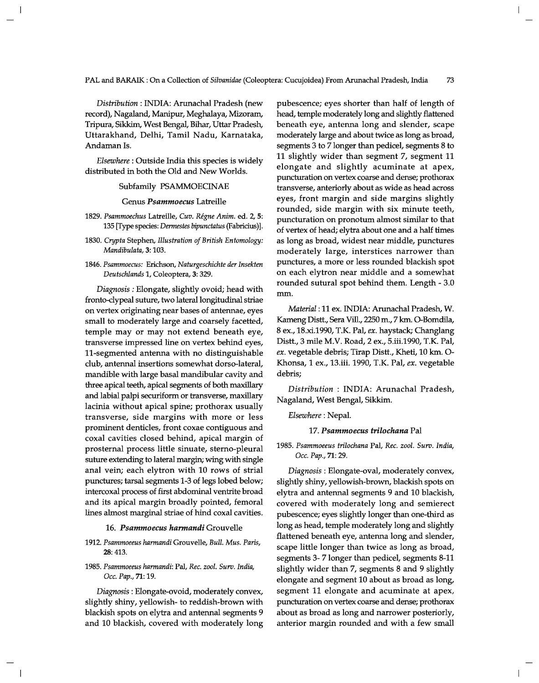*Distribution:* INDIA: Arunachal Pradesh (new record), Nagaland, Manipur, Meghalaya, Mizoram. Tripura, Sikkim, West Bengal, Bihar, Uttar Pradesh, Uttarakhand, Delhi, Tamil Nadu, Karnataka, Andaman Is.

*Elsewhere:* Outside India this species is widely distributed in both the Old and New Worlds.

#### Subfamily PSAMMOECINAE

Genus *Psammoecus* Latreille

- *1829. Psammoechus* Latreille, *Cuv. Regne Anim.* ed. 2, 5: *135 [Type* species: *Dermestes bipunctatus* (Fabricius)].
- *1830. Crypta* Stephen, *Illustration of British Entomology: Mandibulata,* 3: 103.
- *1846. Psammoecus:* Erichson, *Naturgeschichte der Insekten Deutschlands* 1, Coleoptera, 3: 329.

*Diagnosis:* Elongate, slightly ovoid; head with fronto-clypeal suture, two lateral longitudinal striae on vertex originating near bases of antennae, eyes small to moderately large and coarsely facetted, temple may or may not extend beneath eye, transverse impressed line on vertex behind eyes, 11-segmented antenna with no distinguishable club, antennal insertions somewhat dorso-Iateral, mandible with large basal mandibular cavity and three apical teeth, apical segments of both maxillary and labial palpi securiform or transverse, maxillary lacinia without apical spine; prothorax usually transverse, side margins with more or less prominent denticles, front coxae contiguous and coxal cavities closed behind, apical margin of prosternal process little sinuate, sterno-pleural suture extending to lateral margin; wing with single anal vein; each elytron with 10 rows of strial punctures; tarsal segments 1-3 of legs lobed below; intercoxal process of first abdominal ventrite broad and its apical margin broadly pointed, femoral lines almost marginal striae of hind coxal cavities.

#### *16. Psammoecus harmandi* Grouvelle

- *1912. Psammoeeus harmandi* Grouvelle, *Bull. Mus. Paris,*  28: 413.
- *1985. Psammoeeus harmandi:* Pal, *Rec. zool. Surv. India, Dcc. Pap.,* 71: 19.

*Diagnosis:* Elongate-ovoid, moderately convex, slightly shiny, yellowish- to reddish-brown with blackish spots on elytra and antennal segments 9 and 10 blackish, covered with moderately long pubescence; eyes shorter than half of length of head, temple moderately long and slightly flattened beneath eye, antenna long and slender, scape moderately large and about twice as long as broad, segments 3 to 7 longer than pedicel, segments 8 to 11 slightly wider than segment 7, segment 11 elongate and slightly acuminate at apex, puncturation on vertex coarse and dense; prothorax transverse, anteriorly about as wide as head across eyes, front margin and side margins slightly rounded, side margin with six minute teeth, puncturation on pronotum almost similar to that of vertex of head; elytra about one and a half times as long as broad, widest near middle, punctures moderately large, interstices narrower than punctures, a more or less rounded blackish spot on each elytron near middle and a somewhat rounded sutural spot behind them. Length - 3.0 mm.

*Material:* 11 ex. INDIA: Arunachal Pradesh, W. Kameng Distt., Sera Vill., 2250 m., 7 km. O-Bomdila, 8 ex., 18.xi.1990, T.K. Pal, *ex.* haystack; Changlang Distt.,3 mile M.V. Road, 2 ex., 5.iii.1990, T.K. Pal, *ex.* vegetable debris; Tirap Distt., Kheti, 10 km. 0- Khonsa, 1 ex., 13.iii. 1990, T.K. Pal, *ex.* vegetable debris;

*Distribution* : INDIA: Arunachal Pradesh, Nagaland, West Bengal, Sikkim.

*Elsewhere:* Nepal.

#### *17. Psammoecus trilochana* Pal

*1985. Psammoeeus trilochana* Pal, *Rec. zool. Surv. India, Dcc. Pap.,* 71: 29.

*Diagnosis:* Elongate-oval, moderately convex, slightly shiny, yellowish-brown, blackish spots on elytra and antennal segments 9 and 10 blackish, covered with moderately long and semierect pubescence; eyes slightly longer than one-third as long as head, temple moderately long and slightly flattened beneath eye, antenna long and slender, scape little longer than twice as long as broad, segments 3- 7 longer than pedicel, segments 8-11 slightly wider than 7, segments 8 and 9 slightly elongate and segment 10 about as broad as long, segment 11 elongate and acuminate at apex, puncturation on vertex coarse and dense; prothorax about as broad as long and narrower posteriorly, anterior margin rounded and with a few small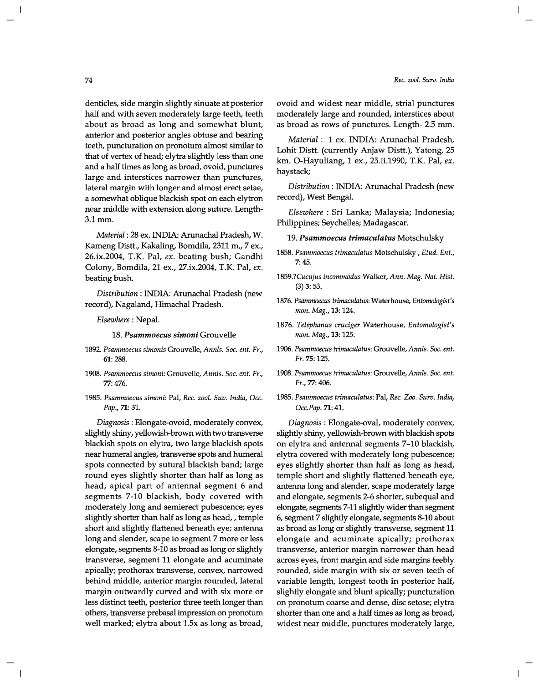denticles, side margin slightly sinuate at posterior half and with seven moderately large teeth, teeth about as broad as long and somewhat blunt, anterior and posterior angles obtuse and bearing teeth, puncturation on pronotum almost similar to that of vertex of head; elytra slightly less than one and a half times as long as broad, ovoid, punctures large and interstices narrower than punctures, lateral margin with longer and almost erect setae, a somewhat oblique blackish spot on each elytron near middle with extension along suture. Length-3.1mm.

*Material:* 28 ex. INDIA: Arunachal Pradesh, W. Kameng Distt., Kakaling, Bomdila, 2311 m., 7 ex., 26.ix.2004, T.K. Pal, *ex.* beating bush; Gandhi Colony, Bomdila, 21 ex., 27.ix.2004, T.K. Pal, *ex.*  beating bush.

*Distribution:* INDIA: Arunachal Pradesh (new record), Nagaland, Himachal Pradesh.

*Elsewhere:* Nepal.

*18. Psammoecus simoni* Grouvelle

- *1892. Psammoecus simonis* Grouvelle, *AnnIs. Soc. ent. Fr.,*  61: 288.
- *1908. Psammoecus simoni:* Grouvelle, *AnnIs. Soc. ent. Fr.,*  77: 476.
- *1985. Psammoecus simoni:* Pal, *Rec. zool. 5uv. India, Dcc. Pap.,* 71: 31.

*Diagnosis:* Elongate-ovoid, moderately convex, slightly shiny, yellowish-brown with two transverse blackish spots on elytra, two large blackish spots near humeral angles, transverse spots and humeral spots connected by sutural blackish band; large round eyes slightly shorter than half as long as head, apical part of antennal segment 6 and segments 7-10 blackish, body covered with moderately long and semierect pubescence; eyes slightly shorter than half as long as head, , temple short and slightly flattened beneath eye; antenna long and slender, scape to segment 7 more or less elongate, segments 8-10 as broad as long or slightly transverse, segment 11 elongate and acuminate apically; prothorax transverse, convex, narrowed behind middle, anterior margin rounded, lateral margin outwardly curved and with six more or less distinct teeth, posterior three teeth longer than others, transverse prebasal impression on pronotum well marked; elytra about 1.5x as long as broad, ovoid and widest near middle, strial punctures moderately large and rounded, interstices about as broad as rows of punctures. Length- 2.5 mm.

*Material:* 1 ex. INDIA: Arunachal Pradesh, Lohit Distt. (currently Anjaw Distt.), Yatong, 25 km. O-Hayuliang, 1 ex., 25.ii.1990, T.K. Pal, *ex.*  haystack;

*Distribution:* INDIA: Arunachal Pradesh (new record), West Bengal.

*Elsewhere* : Sri Lanka; Malaysia; Indonesia; Philippines; Seychelles; Madagascar.

*19. Psammoecus trimaculatus* Motschulsky

- *1858. Psammoecus trimaculatus* Motschulsky , *Etud. Ent.,*  7:45.
- *1859.?Cucujus incommodus* Walker, *Ann. Mag. Nat. Rist.*  (3) 3: 53.
- *1876. Psammoecus trimaculatus:* Waterhouse, *Entomologist's*  mon. Mag., 13: 124.
- *1876. Telephanus cruciger* Waterhouse, *Entomologist's*  mon. Mag., 13: 125.
- *1906. Psammoecus trimaculatus:* Grouvelle, *AnnIs. Soc. ent. Fr.* 75: 125.
- *1908. Psammoecus trimaculatus:* Grouvelle, *AnnIs. Soc. ent. Fr.,* 77: 406.
- *1985. Psammoecus trimaculatus:* Pal, *Rec. Zoo. 5urv. India, Dcc.Pap.* 71: 41.

*Diagnosis:* Elongate-oval, moderately convex, slightly shiny, yellowish-brown with blackish spots on elytra and antennal segments 7-10 blackish, elytra covered with moderately long pubescence; eyes slightly shorter than half as long as head, temple short and slightly flattened beneath eye, antenna long and slender, scape moderately large and elongate, segments 2-6 shorter, subequal and elongate, segments 7-11 slightly wider than segment 6, segment 7 slightly elongate, segments 8-10 about as broad as long or slightly transverse, segment 11 elongate and acuminate apically; prothorax transverse, anterior margin narrower than head across eyes, front margin and side margins feebly rounded, side margin with six or seven teeth of variable length, longest tooth in posterior half, slightly elongate and blunt apically; puncturation on pronotum coarse and dense, disc setose; elytra shorter than one and a half times as long as broad, widest near middle, punctures moderately large,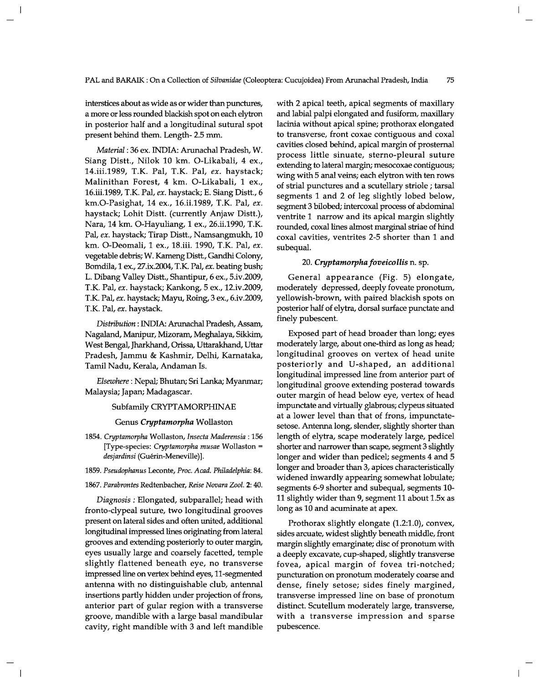interstices about as wide as or wider than punctures, a more or less rounded blackish spot on each elytron in posterior half and a longitudinal sutural spot present behind them. Length- 2.5 mm.

*Material:* 36 ex. INDIA: Arunachal Pradesh, W. Siang Distt., Nilok 10 km. O-Likabali, 4 ex., 14.iii.1989, T.K. Pal, T.K. Pal, *ex.* haystack; Malinithan Forest, 4 km. O-Likabali, 1 ex., 16.iii.1989, T.K. Pal, *ex.* haystack; E. Siang Distt., 6 km.O-Pasighat, 14 ex., 16.ii.1989, T.K. Pal, *ex.*  haystack; Lohit Distt. (currently Anjaw Distt.), Nara, 14 km. O-Hayuliang, 1 ex., 26.ii.1990, T.K. Pal, *ex.* haystack; Tirap Distt., Namsangmukh, 10 km. O-Deomali, 1 ex., 18.iii. 1990, T.K. Pal, *ex.*  vegetable debris; W. Kameng Distt., Gandhi Colony, Bomdila, 1 ex., 27.ix.2004, T.K. Pal, *ex.* beating bush; L. Dibang Valley Distt., Shantipur, 6 ex., 5.iv.2009, T.K. Pal, *ex.* haystack; Kankong, 5 ex., 12.iv.2009, T.K. Pal, *ex.* haystack; Mayu, Roing, 3 ex., 6.iv.2009, T.K. Pal, *ex.* haystack.

*Distribution:* INDIA: Arunachal Pradesh, Assam, Nagaland, Manipur, Mizoram, Meghalaya, Sikkim, West Bengal, Jharkhand, Orissa, Uttarakhand, Uttar Pradesh, Jammu & Kashmir, Delhi, Karnataka, Tamil Nadu, Kerala, Andaman Is.

*Elsewhere:* Nepal; Bhutan; Sri Lanka; Myanmar; Malaysia; Japan; Madagascar.

## Subfamily CRYPTAMORPHINAE

#### Genus *Cryptamorpha* Wollaston

- *1854. Cryptamorpha* Wollaston, *Insecta Maderensia* : 156 [Type-species: *Cryptamorpha musae* Wollaston =  $desjardinsi$  (Guérin-Meneville)].
- *1859. Pseudophanus* Leconte, *Proc. Acad. Philadelphia: 84.*
- *1867. Parabrontes* Redtenbacher, *Reise Novara Zool.* 2: 40.

*Diagnosis:* Elongated, subparallel; head with fronto-clypeal suture, two longitudinal grooves present on lateral sides and often united, additional longitudinal impressed lines originating from lateral grooves and extending posteriorly to outer margin, eyes usually large and coarsely facetted, temple slightly flattened beneath eye, no transverse impressed line on vertex behind eyes, ll-segmented antenna with no distinguishable club, antennal insertions partly hidden under projection of frons, anterior part of gular region with a transverse groove, mandible with a large basal mandibular cavity, right mandible with 3 and left mandible with 2 apical teeth, apical segments of maxillary and labial palpi elongated and fusiform, maxillary lacinia without apical spine; prothorax elongated to transverse, front coxae contiguous and coxal cavities closed behind, apical margin of prosternal process little sinuate, sterno-pleural suture extending to lateral margin; mesocoxae contiguous; wing with 5 anal veins; each elytron with ten rows of strial punctures and a scutellary striole ; tarsal segments 1 and 2 of leg slightly lobed below, segment 3 bilobed; intercoxal process of abdominal ventrite 1 narrow and its apical margin slightly rounded, coxal lines almost marginal striae of hind coxal cavities, ventrites 2-5 shorter than 1 and subequal.

## *20. Cryptamorpha foveicollis* n. sp.

General appearance (Fig. 5) elongate, moderately depressed, deeply foveate pronotum, yellowish-brown, with paired blackish spots on posterior half of elytra, dorsal surface punctate and finely pubescent.

Exposed part of head broader than long; eyes moderately large, about one-third as long as head; longitudinal grooves on vertex of head unite posteriorly and V-shaped, an additional longitudinal impressed line from anterior part of longitudinal groove extending posterad towards outer margin of head below eye, vertex of head impunctate and virtually glabrous; dypeus situated at a lower level than that of frons, impunctatesetose. Antenna long, slender, slightly shorter than length of elytra, scape moderately large, pedicel shorter and narrower than scape, segment 3 slightly longer and wider than pedicel; segments 4 and 5 longer and broader than 3, apices characteristically widened inwardly appearing somewhat lobulate; segments 6-9 shorter and subequal, segments lO-II slightly wider than 9, segment 11 about 1.5x as long as 10 and acuminate at apex.

Prothorax slightly elongate (1.2:1.0), convex, sides arcuate, widest slightly beneath middle, front margin slightly emarginate; disc of pronotum with a deeply excavate, cup-shaped, slightly transverse fovea, apical margin of fovea tri-notched; puncturation on pronotum moderately coarse and dense, finely setose; sides finely margined, transverse impressed line on base of pronotum distinct. Scutellum moderately large, transverse, with a transverse impression and sparse pubescence.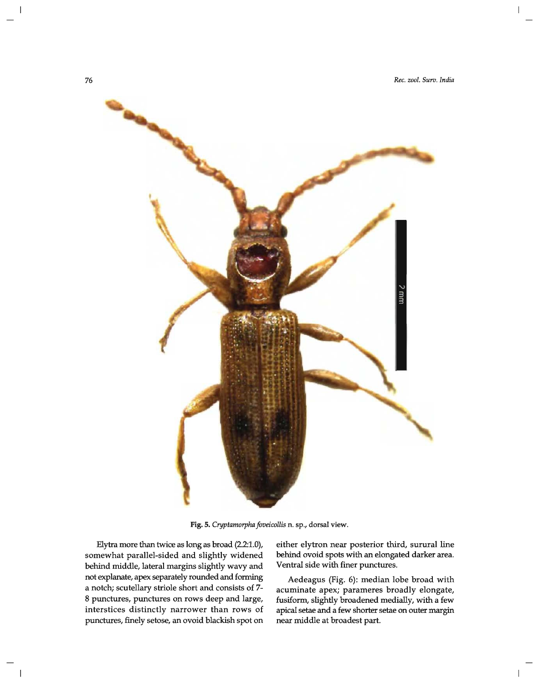

Fig. 5. *Cryptamorpha foveicollis* n. sp., dorsal view.

Elytra more than twice as long as broad (2.2:1.0), somewhat parallel-sided and slightly widened behind middle, lateral margins slightly wavy and not explanate, apex separately rounded and forming a notch; scutellary striole short and consists of 7- 8 punctures, punctures on rows deep and large, interstices distinctly narrower than rows of punctures, finely setose, an ovoid blackish spot on

either elytron near posterior third, surural line behind ovoid spots with an elongated darker area. Ventral side with finer punctures.

Aedeagus (Fig. 6): median lobe broad with acuminate apex; parameres broadly elongate, fusiform, slightly broadened medially, with a few apical setae and a few shorter setae on outer margin near middle at broadest part.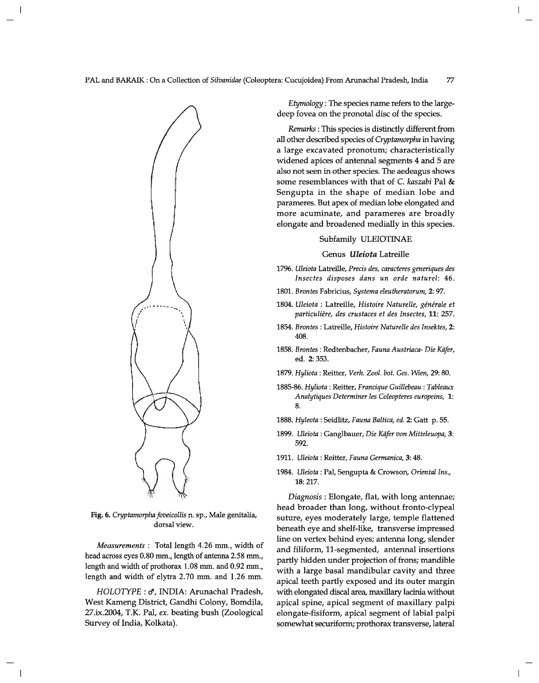

Fig. 6. *Cryptamorpha foveicollis* n. sp., Male genitalia, dorsal view.

*Measurements*: Total length 4.26 mm., width of head across eyes 0.80 mm., length of antenna 2.58 mm., length and width of prothorax  $1.08$  mm. and  $0.92$  mm., length and width of elytra 2.70 mm. and 1.26 mm.

HOLOTYPE : J, INDIA: Arunachal Pradesh, West Kameng District, Gandhi Colony, Bomdila, 27.ix.2004, T.K. Pal, *ex.* beating bush (Zoological Survey of India, Kolkata).

*Etymology:* The species name refers to the largedeep fovea on the pronotal disc of the species.

*Remarks:* This species is distinctly different from all other described species of *Cryptamorpha* in having a large excavated pronotum; characteristically widened apices of antennal segments 4 and 5 are also not seen in other species. The aedeagus shows some resemblances with that of C. *kaszabi* Pal & Sengupta in the shape of median lobe and parameres. But apex of median lobe elongated and more acuminate, and parameres are broadly elongate and broadened medially in this species.

### Subfamily ULEIOTINAE

#### Genus *Uleiota* Latreille

- *1796. UZeiota* Latreille, *Precis des, caracteres generiques des Insectes disposes dans un orde naturel: 46.*
- *1801. Brontes* Fabricius, *Systema eleutheratorum,* 2: 97.
- 1804. Uleiota : Latreille, Histoire Naturelle, générale et *particuliere, des crustaces et des Insectes,* 11: 257.
- *1854. Brontes* : Latreille, *Histoire Naturelle des Insektes, 2:*  408.
- *1858. Brontes* : Redtenbacher, *Fauna Austriaca- Die Kafer,*  ed. 2: 353.
- *1879. Hyliota* : Reitter, *Verh. Zoo1. bot. Ges. Wien,* 29: 80.
- *1885-86. Hyliota* : Reitter, *Francique Guillebeau* : *Tableaux Analytiques Determiner les Coleopteres europeins, 1:*  8.
- *1888. Hyleota* : Seidlitz, *Fauna Baltica, ed.* 2: Gatt p. 55.
- 1899. *Uleiota: Ganglbauer, Die Käfer von Mitteleuopa*, 3: 592.
- 1911. *UZeiota:* Reitter, *Fauna Germanica,* 3: 48.
- 1984. *UZeiota:* Pal, Sengupta & Crowson, *Oriental Ins.,*  18: 217.

*Diagnosis:* Elongate, flat, with long antennae; head broader than long, without fronto-dypeal suture, eyes moderately large, temple flattened beneath eye and shelf-like, transverse impressed line on vertex behind eyes; antenna long, slender and filiform, ll-segmented, antennal insertions partly hidden under projection of frons; mandible with a large basal mandibular cavity and three apical teeth partly exposed and its outer margin with elongated discal area, maxillary lacinia without apical spine, apical segment of maxillary palpi elongate-fisiform, apical segment of labial palpi somewhat securiform; prothorax transverse, lateral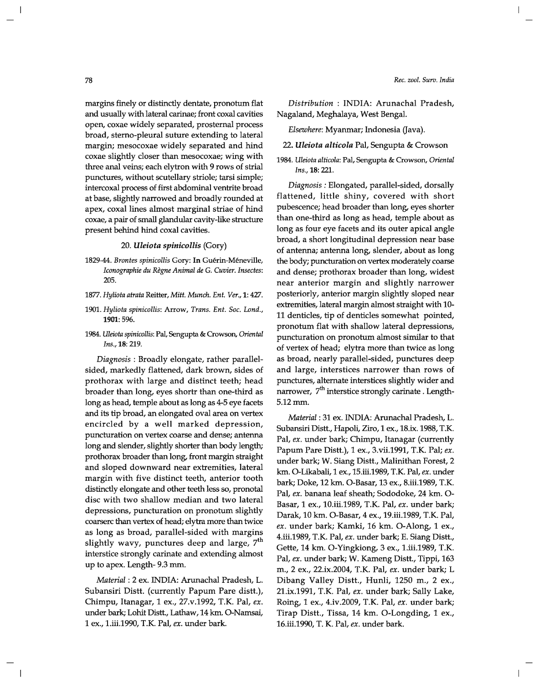#### *Rec. zool. Surv. India*

margins finely or distinctly dentate, pronotum flat and usually with lateral carinae; front coxal cavities open, coxae widely separated, prosternal process broad, sterno-pleural suture extending to lateral margin; mesocoxae widely separated and hind coxae slightly closer than mesocoxae; wing with three anal veins; each elytron with 9 rows of strial punctures, without scutellary striole; tarsi simple; intercoxal process of first abdominal ventrite broad at base, slightly narrowed and broadly rounded at apex, coxal lines almost marginal striae of hind coxae, a pair of small glandular cavity-like structure present behind hind coxal cavities.

#### *20. Uleiota spinicollis* (Gory)

- *1829-44. Brontes spinicollis* Gory: **In** Guerin-Meneville, *Iconographie du Regne Animal de* G. *Cuvier. Insectes:*  205.
- *1877. Hyliota atrata* Reitter, *Mitt. Munch. Ent. Ver.,* 1: 427.
- *1901. Hyliota spinicollis:* Arrow, *Trans. Ent. Soc. Lond.,*  1901: 596.
- *1984. Weiota spinicollis:* Pal, Sengupta & Crowson, *Oriental Ins.,* 18: 219.

*Diagnosis* : Broadly elongate, rather parallelsided, markedly flattened, dark brown, sides of prothorax with large and distinct teeth; head broader than long, eyes shortr than one-third as long as head, temple about as long as 4-5 eye facets and its tip broad, an elongated oval area on vertex encircled by a well marked depression, puncturation on vertex coarse and dense; antenna long and slender, slightly shorter than body length; prothorax broader than long, front margin straight and sloped downward near extremities, lateral margin with five distinct teeth, anterior tooth distinctly elongate and other teeth less so, pronotal disc with two shallow median and two lateral depressions, puncturation on pronotum slightly coarserc than vertex of head; elytra more than twice as long as broad, parallel-sided with margins slightly wavy, punctures deep and large,  $7<sup>th</sup>$ interstice strongly carinate and extending almost up to apex. Length- 9.3 mm.

*Material:* 2 ex. INDIA: Arunachal Pradesh, L. Subansiri Distt. (currently Papum Pare distt.), Chimpu, Itanagar, 1 ex., 27.v.1992, T.K. Pal, *ex.*  under bark; Lohit Distt., Lathaw, 14 km. O-Namsai, 1 ex., 1.iii.1990, T.K. Pal, *ex.* under bark.

*Distribution* : INDIA: Arunachal Pradesh, Nagaland, Meghalaya, West Bengal.

*Elsewhere:* Myanmar; Indonesia (Java).

- *22. Uleiota alticola* Pal, Sengupta & Crowson
- *1984. Weiota alticola:* Pal, Sengupta & Crowson, *Oriental Ins.,* 18: 221.

*Diagnosis:* Elongated, parallel-sided, dorsally flattened, little shiny, covered with short pubescence; head broader than long, eyes shorter than one-third as long as head, temple about as long as four eye facets and its outer apical angle broad, a short longitudinal depression near base of antenna; antenna long, slender, about as long the body; puncturation on vertex moderately coarse and dense; prothorax broader than long, widest near anterior margin and slightly narrower posteriorly, anterior margin slightly sloped near extremities, lateral margin almost straight with lO-II denticles, tip of denticles somewhat pointed, pronotum flat with shallow lateral depressions, puncturation on pronotum almost similar to that of vertex of head; elytra more than twice as long as broad, nearly parallel-sided, punctures deep and large, interstices narrower than rows of punctures, alternate interstices slightly wider and narrower, 7<sup>th</sup> interstice strongly carinate. Length-5.12mm.

*Material:* 31 ex. INDIA: Arunachal Pradesh, L. Subansiri Distt., Hapoli, Ziro, 1 ex., 18.ix. 1988, T.K. Pal, *ex.* under bark; Chimpu, Itanagar (currently Papum Pare Distt.), 1 ex., 3.vii.199l, T.K. Pal; *ex.*  under bark; W. Siang Distt., Malinithan Forest, 2 km. O-Likabali, 1 ex., 15.iii.1989, T.K. Pal, *ex.* under bark; Doke, 12 km. O-Basar, 13 ex., 8.iii.1989, T.K. Pal, *ex.* banana leaf sheath; Sododoke, 24 km. 0- Basar, 1 ex., 10.iii.1989, T.K. Pal, *ex.* under bark; Darak, 10 km. O-Basar, 4 ex., 19.iii.1989, T.K. Pal, *ex.* under bark; Kamki, 16 km. O-Along, 1 ex., 4.iii.1989, T.K. Pal, *ex.* under bark; E. Siang Distt., Gette, 14 km. O-Yingkiong, 3 ex., 1.iii.1989, T.K. Pal, *ex.* under bark; W. Kameng Distt., Tippi, 163 m., 2 ex., 22.ix.2004, T.K. Pal, *ex.* under bark; L Dibang Valley Distt., Hunli, 1250 m., 2 ex., 21.ix.199l, T.K. Pal, *ex.* under bark; Sally Lake, Roing,l ex., 4.iv.2009, T.K. Pal, *ex.* under bark; Tirap Distt., Tissa, 14 km. O-Longding, 1 ex., 16.iii.1990, T. K. Pal, *ex.* under bark.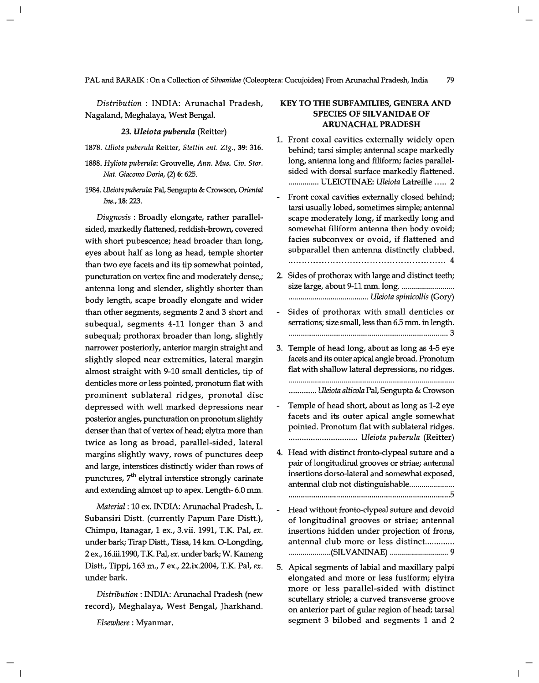*Distribution:* INDIA: Arunachal Pradesh, Nagaland, Meghalaya, West Bengal.

*23. Uleiota puberula* (Reitter)

- *1878. Uliota puberula* Reitter, *Stettin ent. Ztg.,* 39: 316.
- *1888. Hyliota puberula:* Grouvelle, *Ann. Mus. Civ. Stor. Nat. Giacomo Doria,* (2) 6: 625.
- *1984. Uleiota puberula:* Pal, Sengupta & Crowson, *Oriental Ins.,* 18: 223.

*Diagnosis* : Broadly elongate, rather parallelsided, markedly flattened, reddish-brown, covered with short pubescence; head broader than long, eyes about half as long as head, temple shorter than two eye facets and its tip somewhat pointed, puncturation on vertex fine and moderately dense,; antenna long and slender, slightly shorter than body length, scape broadly elongate and wider than other segments, segments 2 and 3 short and subequal, segments 4-11 longer than 3 and subequal; prothorax broader than long, slightly narrower posteriorly, anterior margin straight and slightly sloped near extremities, lateral margin almost straight with 9-10 small denticles, tip of denticles more or less pointed, pronotum flat with prominent sublateral ridges, pronotal disc depressed with well marked depressions near posterior angles, puncturation on pronotum slightly denser than that of vertex of head; elytra more than twice as long as broad, parallel-sided, lateral margins slightly wavy, rows of punctures deep and large, interstices distinctly wider than rows of punctures,  $7<sup>th</sup>$  elytral interstice strongly carinate and extending almost up to apex. Length- 6.0 mm.

*Material:* 10 ex. INDIA: Arunachal Pradesh, L. Subansiri Distt. (currently Papum Pare Distt.), Chimpu, Itanagar, 1 ex., 3.vii. 1991, T.K. Pal, *ex.*  under bark; Tirap Distt., Tissa, 14 km. O-Longding, 2 ex., 16.iii.1990, TK Pal, *ex.* under bark; W. Kameng Distt., Tippi, 163 m., 7 ex., 22.ix.2004, T.K. Pal, *ex.*  under bark.

*Distribution:* INDIA: Arunachal Pradesh (new record), Meghalaya, West Bengal, Jharkhand.

*Elsewhere:* Myanmar.

## KEY TO THE SUBFAMILIES, GENERA AND SPECIES OF SILVANIDAE OF ARUNACHAL PRADESH

- 1. Front coxal cavities externally widely open behind; tarsi simple; antennal scape markedly long, antenna long and filiform; facies parallelsided with dorsal surface markedly flattened. . .............. ULEIOTINAE: *Uleiota* Latreille ..... 2
- Front coxal cavities externally closed behind; tarsi usually lobed, sometimes simple; antennal scape moderately long, if markedly long and somewhat filiform antenna then body ovoid; facies subconvex or ovoid, if flattened and subparallel then antenna distinctly clubbed. ........................................................ 4
- 2. Sides of prothorax with large and distinct teeth; size large, about 9-11 mm. long ........................... . ........................................ *Uleiota spinicollis* (Gory)
- Sides of prothorax with small denticles or serrations; size small, less than 6.5 mm. in length. ............................................................................. 3
- 3. Temple of head long, about as long as 4-5 eye facets and its outer apical angle broad. Pronotum flat with shallow lateral depressions, no ridges.

............... *Uleiota alticola* Pal, Sengupta & Crowson

- Temple of head short, about as long as 1-2 eye facets and its outer apical angle somewhat pointed. Pronotum flat with sublateral ridges. ............................... *Uleiota puberula* (Reitter)
- 4. Head with distinct fronto-clypeal suture and a pair of longitudinal grooves or striae; antennal insertions dorso-Iateral and somewhat exposed, antennal club not distinguishable...................... . ............................................................................. 5
- Head without fronto-clypeal suture and devoid of longitudinal grooves or striae; antennal insertions hidden under projection of frons, antennal club more or less distinct............. ..................... (SILVANINAE) ............................. 9
- 5. Apical segments of labial and maxillary palpi elongated and more or less fusiform; elytra more or less parallel-sided with distinct scutellary striole; a curved transverse groove on anterior part of gular region of head; tarsal segment 3 bilobed and segments 1 and 2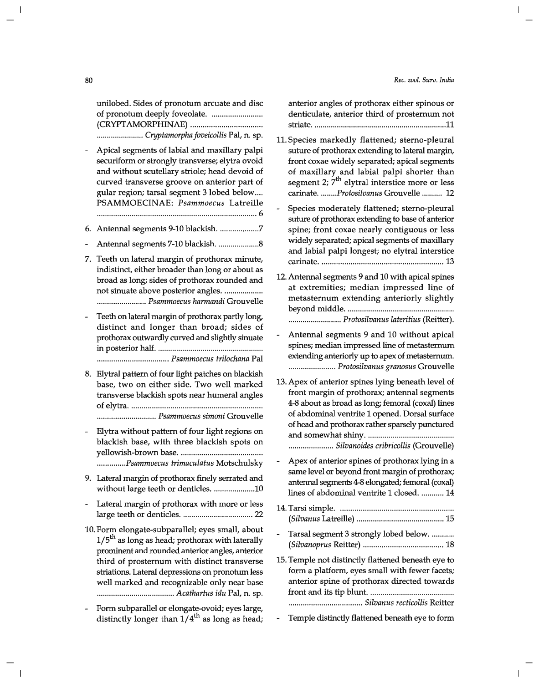unilobed. Sides of pronotum arcuate and disc of pronotum deeply foveolate. . ....................... . (CRYPTAMORPHINAE) .................................. . ....................... *Cryptamorpha foveicollis* Pal, n. sp.

- Apical segments of labial and maxillary palpi securiform or strongly transverse; elytra ovoid and without scutellary striole; head devoid of curved transverse groove on anterior part of gular region; tarsal segment 3 lobed below .... PSAMMOECINAE: *Psammoecus* Latreille .............................................................................. 6
- 6. Antennal segments 9-10 blackish. ........................7
- Antennal segments 7-10 blackish ..................... 8
- 7. Teeth on lateral margin of prothorax minute, indistinct, either broader than long or about as broad as long; sides of prothorax rounded and not sinuate above posterior angles. ................... ........................ *Psammoecus harmandi* Grouvelle
- Teeth on lateral margin of prothorax partly long, distinct and longer than broad; sides of prothorax outwardly curved and slightly sinuate in posterior half .................................................... . ................................... *Psammoecus trilochana* Pal
- 8. Elytral pattern of four light patches on blackish base, two on either side. Two well marked transverse blackish spots near humeral angles of elytra ................................................................ . ............................. *Psammoecus simoni* Grouvelle
- Elytra without pattern of four light regions on blackish base, with three blackish spots on yellowish-brown base ........................................ . *.............. Psammoecus trimaculatus* Motschulsky
- 9. Lateral margin of prothorax finely serrated and without large teeth or denticles. ....................10
- Lateral margin of prothorax with more or less large teeth or denticles ................................... 22
- 10. Form elongate-subparallel; eyes small, about  $1/5<sup>th</sup>$  as long as head; prothorax with laterally prominent and rounded anterior angles, anterior third of prosternum with distinct transverse striations. Lateral depressions on pronotum less well marked and recognizable only near base ...................................... *Acathartus idu* Pal, n. sp.
- Form subparallel or elongate-ovoid; eyes large, distinctly longer than  $1/4^{th}$  as long as head;

anterior angles of prothorax either spinous or denticulate, anterior third of prosternum not striate .................................................................. 11

- 11. Species markedly flattened; sterno-pleural suture of prothorax extending to lateral margin, front coxae widely separated; apical segments of maxillary and labial palpi shorter than segment 2;  $7<sup>th</sup>$  elytral interstice more or less carinate .......*.. Protosilvanus* Grouvelle .......... 12
- Species moderately flattened; sterno-pleural suture of prothorax extending to base of anterior spine; front coxae nearly contiguous or less widely separated; apical segments of maxillary and labial palpi longest; no elytral interstice carinate ............................................................ 13
- 12. Antennal segments 9 and 10 with apical spines at extremities; median impressed line of metasternum extending anteriorly slightly beyond middle .................................................... . .......................... *Protosilvanus lateritius* (Reitter).
- Antennal segments 9 and 10 without apical spines; median impressed line of metasternum extending anteriorly up to apex of metasternum. ....................... *Protosilvanus granosus* Grouvelle
- 13. Apex of anterior spines lying beneath level of front margin of prothorax; antennal segments 4-8 about as broad as long; femoral (coxal) lines of abdominal ventrite 1 opened. Dorsal surface of head and prothorax rather sparsely punctured and somewhat shiny .......................................... . ...................... *Silvanoides cribricollis* (Grouvelle)
- Apex of anterior spines of prothorax lying in a same level or beyond front margin of prothorax; antennal segments 4-8 elongated; femoral (coxal) lines of abdominal ventrite 1 closed. ........... 14
- 14. Tarsi simple ....................................................... . *(Silvanus* Latreille) ........................................... 15 - Tarsal segment 3 strongly lobed below. ........... *(Silvanoprus* Reitter) ....................................... 18
- 15. Temple not distinctly flattened beneath eye to form a platform, eyes small with fewer facets; anterior spine of prothorax directed towards front and its tip blunt. ........................................ . . ................................... *Silvanus recticollis* Reitter
- Temple distinctly flattened beneath eye to form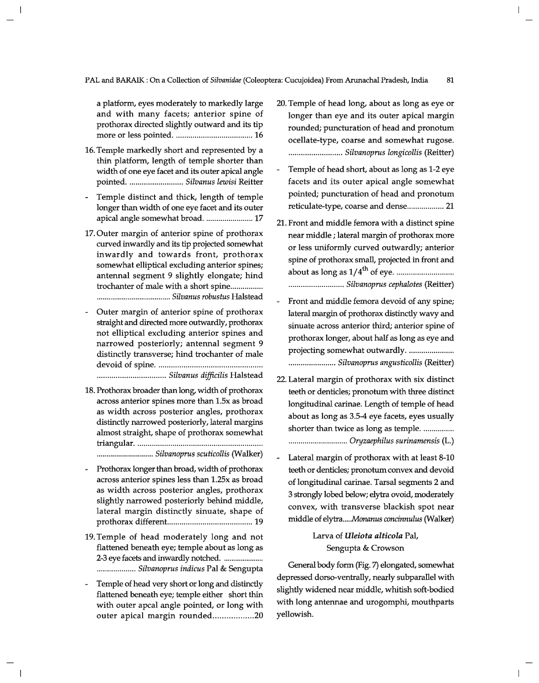PAL and BARAIK : On a Collection of *Silvanidae* (Coleoptera: Cucujoidea) From Arunachal Pradesh, India 81

a platform, eyes moderately to markedly large and with many facets; anterior spine of prothorax directed slightly outward and its tip more or less pointed ...................................... 16

- 16. Temple markedly short and represented by a thin platform, length of temple shorter than width of one eye facet and its outer apical angle pointed ........................... *Silvanus lewisi* Reitter
- Temple distinct and thick, length of temple longer than width of one eye facet and its outer apical angle somewhat broad. ........................ 17
- 17. Outer margin of anterior spine of prothorax curved inwardly and its tip projected somewhat inwardly and towards front, prothorax somewhat elliptical excluding anterior spines; antennal segment 9 slightly elongate; hind trochanter of male with a short spine................ ........ ......... ......... ......... ... *Silvanus robustus* Halstead
- Outer margin of anterior spine of prothorax straight and directed more outwardly, prothorax not elliptical excluding anterior spines and narrowed posteriorly; antennal segment 9 distinctly transverse; hind trochanter of male devoid of spine .................................................. . ..... ..... ....................... *Silvanus difficilis* Halstead
- 18. Prothorax broader than long, width of prothorax across anterior spines more than 1.5x as broad as width across posterior angles, prothorax distinctly narrowed posteriorly, lateral margins almost straight, shape of prothorax somewhat triangular ............................................................. .

............................ *Silvanoprus scuticollis* (Walker)

- Prothorax longer than broad, width of prothorax across anterior spines less than l.25x as broad as width across posterior angles, prothorax slightly narrowed posteriorly behind middle, lateral margin distinctly sinuate, shape of prothorax different... ...................................... 19
- 19. Temple of head moderately long and not flattened beneath eye; temple about as long as 2-3 eye facets and inwardly notched. . ................... . ................... *Silvanoprus indicus* Pal & Sengupta
- Temple of head very short or long and distinctly flattened beneath eye; temple either short thin with outer apcal angle pointed, or long with outer apical margin rounded..................20
- 20. Temple of head long, about as long as eye or longer than eye and its outer apical margin rounded; puncturation of head and pronotum ocellate-type, coarse and somewhat rugose. .......................... *Silvanoprus longicollis* (Reitter)
- Temple of head short, about as long as 1-2 eye facets and its outer apical angle somewhat pointed; puncturation of head and pronotum reticulate-type, coarse and dense.................. 21
- 21. Front and middle femora with a distinct spine near middle; lateral margin of prothorax more or less uniformly curved outwardly; anterior spine of prothorax small, projected in front and th about as long as 1/4 of eye ............................ . ........................... *Silvanoprus cephalotes* (Reitter)
- Front and middle femora devoid of any spine; lateral margin of prothorax distinctly wavy and sinuate across anterior third; anterior spine of prothorax longer, about half as long as eye and projecting somewhat outwardly ...................... . ....................... *Silvanoprus angusticollis* (Reitter)
- 22. Lateral margin of prothorax with six distinct teeth or denticles; pronotum with three distinct longitudinal carinae. Length of temple of head about as long as 3.5-4 eye facets, eyes usually shorter than twice as long as temple. ............... ............................. *Oryzaephilus surinamensis* (L.)
- Lateral margin of prothorax with at least 8-10 teeth or denticles; pronotum convex and devoid of longitudinal carinae. Tarsal segments 2 and 3 strongly lobed below; elytra ovoid, moderately convex, with transverse blackish spot near middle of *elytra ..... Monanus concinnulus* (Walker)

## Larva of *Uleiota alticola* Pal, Sengupta & Crowson

General body form (Fig. 7) elongated, somewhat depressed dorso-ventrally, nearly subparallel with slightly widened near middle, whitish soft-bodied with long antennae and urogomphi, mouthparts yellowish.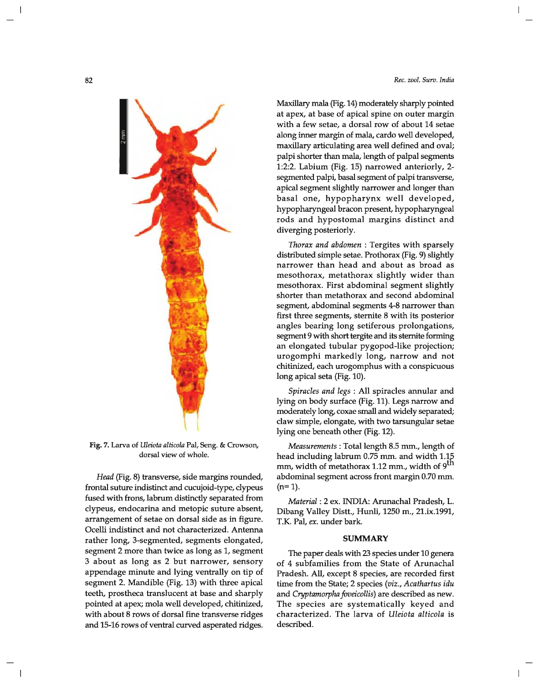

Fig. 7. Larva of *Uleiota altieola* Pal, Seng. & Crowson, dorsal view of whole.

*Head* (Fig. 8) transverse, side margins rounded, frontal suture indistinct and cucujoid-type, clypeus fused with frons, labrum distinctly separated from clypeus, endocarina and metopic suture absent, arrangement of setae on dorsal side as in figure. Ocelli indistinct and not characterized. Antenna rather long, 3-segmented, segments elongated, segment 2 more than twice as long as 1, segment 3 about as long as 2 but narrower, sensory appendage minute and lying ventrally on tip of segment 2. Mandible (Fig. 13) with three apical teeth, prostheca translucent at base and sharply pointed at apex; mola well developed, chitinized, with about 8 rows of dorsal fine transverse ridges and 15-16 rows of ventral curved asperated ridges. Maxillary mala (Fig. 14) moderately sharply pointed at apex, at base of apical spine on outer margin with a few setae, a dorsal row of about 14 setae along inner margin of mala, cardo well developed, maxillary articulating area well defined and oval; palpi shorter than mala, length of palpal segments 1:2:2. Labium (Fig. 15) narrowed anteriorly, 2 segmented palpi, basal segment of palpi transverse, apical segment slightly narrower and longer than basal one, hypopharynx well developed, hypopharyngeal bracon present, hypopharyngeal rods and hypostomal margins distinct and diverging posteriorly.

*Thorax and abdomen* : Tergites with sparsely distributed simple setae. Prothorax (Fig. 9) slightly narrower than head and about as broad as mesothorax, metathorax slightly wider than mesothorax. First abdominal segment slightly shorter than metathorax and second abdominal segment, abdominal segments 4-8 narrower than first three segments, sternite 8 with its posterior angles bearing long setiferous prolongations, segment 9 with short tergite and its sternite forming an elongated tubular pygopod-like projection; urogomphi markedly long, narrow and not chitinized, each urogomphus with a conspicuous long apical seta (Fig. 10).

*Spiracles and legs* : All spiracles annular and lying on body surface (Fig. 11). Legs narrow and moderately long, coxae small and widely separated; claw simple, elongate, with two tarsungular setae lying one beneath other (Fig. 12).

*Measurements:* Total length 8.5 mm., length of head including labrum 0.75 mm. and width 1.15 mm, width of metathorax 1.12 mm., width of 9<sup>th</sup> abdominal segment across front margin 0.70 mm.  $(n=1)$ .

*Material:* 2 ex. INDIA: Arunachal Pradesh, L. Dibang Valley Distt., Hunli, 1250 m., 2l.ix.1991, T.K. Pal, *ex.* under bark.

### **SUMMARY**

The paper deals with 23 species under 10 genera of 4 subfamilies from the State of Arunachal Pradesh. All, except 8 species, are recorded first time from the State; 2 species *(viz., Acathartus idu*  and *Cryptamorpha foveicollis)* are described as new. The species are systematically keyed and characterized. The larva of *Uleiota alticola* is described.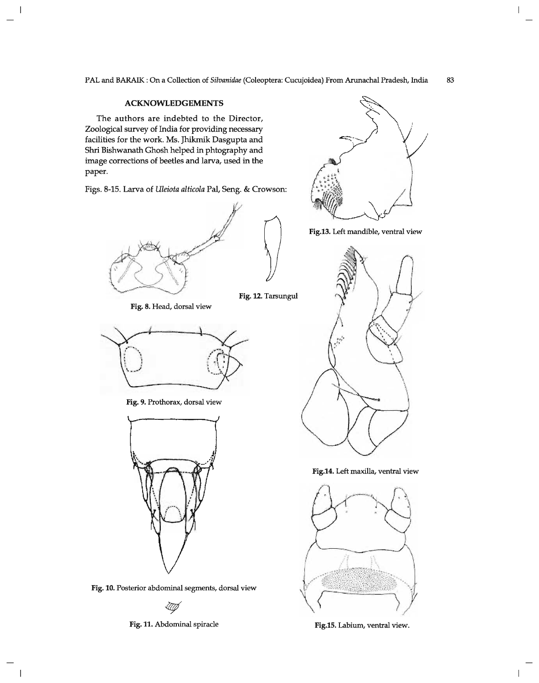## **ACKNOWLEDGEMENTS**

 $\overline{\phantom{a}}$ 

 $\overline{\phantom{a}}$ 

The authors are indebted to the Director, Zoological survey of India for providing necessary facilities for the work. Ms. Jhikmik Dasgupta and Shri Bishwanath Ghosh helped in phtography and image corrections of beetles and larva, used in the paper.

Figs. 8-15. Larva of *Uleiota alticola* Pal, Seng. & Crowson:



Fig. 12. Tarsungul



Fig. 8. Head, dorsal view

Fig. 9. Prothorax, dorsal view



Fig. 10. Posterior abdominal segments, dorsal view

-UI)

Fig. 11. Abdominal spiracle



 $\overline{1}$ 

 $\mathbf{I}$ 

Fig.13. Left mandible, ventral view



Fig.14. Left maxilla, ventral view



Fig.1S. Labium, ventral view.